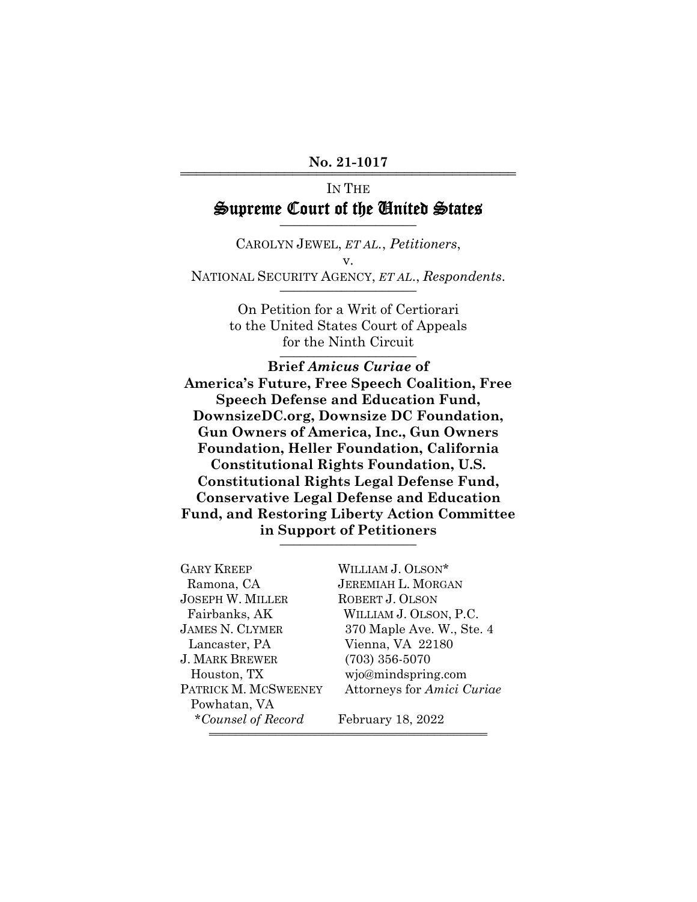#### No. 21-1017

# IN THE Supreme Court of the United States

CAROLYN JEWEL, *ET AL.*, *Petitioners*, v. NATIONAL SECURITY AGENCY, *ET AL.*, *Respondents*.

> On Petition for a Writ of Certiorari to the United States Court of Appeals for the Ninth Circuit

**Brief** *Amicus Curiae* **of America's Future, Free Speech Coalition, Free Speech Defense and Education Fund, DownsizeDC.org, Downsize DC Foundation, Gun Owners of America, Inc., Gun Owners Foundation, Heller Foundation, California Constitutional Rights Foundation, U.S. Constitutional Rights Legal Defense Fund, Conservative Legal Defense and Education Fund, and Restoring Liberty Action Committee in Support of Petitioners** \_\_\_\_\_\_\_\_\_\_\_\_\_\_\_\_\_\_\_\_

| <b>GARY KREEP</b>       | WILLIAM J. OLSON*          |
|-------------------------|----------------------------|
| Ramona, CA              | <b>JEREMIAH L. MORGAN</b>  |
| <b>JOSEPH W. MILLER</b> | ROBERT J. OLSON            |
| Fairbanks, AK           | WILLIAM J. OLSON, P.C.     |
| <b>JAMES N. CLYMER</b>  | 370 Maple Ave. W., Ste. 4  |
| Lancaster, PA           | Vienna, VA 22180           |
| <b>J. MARK BREWER</b>   | $(703)$ 356-5070           |
| Houston, TX             | wjo@mindspring.com         |
| PATRICK M. MCSWEENEY    | Attorneys for Amici Curiae |
| Powhatan, VA            |                            |
| *Counsel of Record      | February 18, 2022          |

444444444444444444444444444444444444444444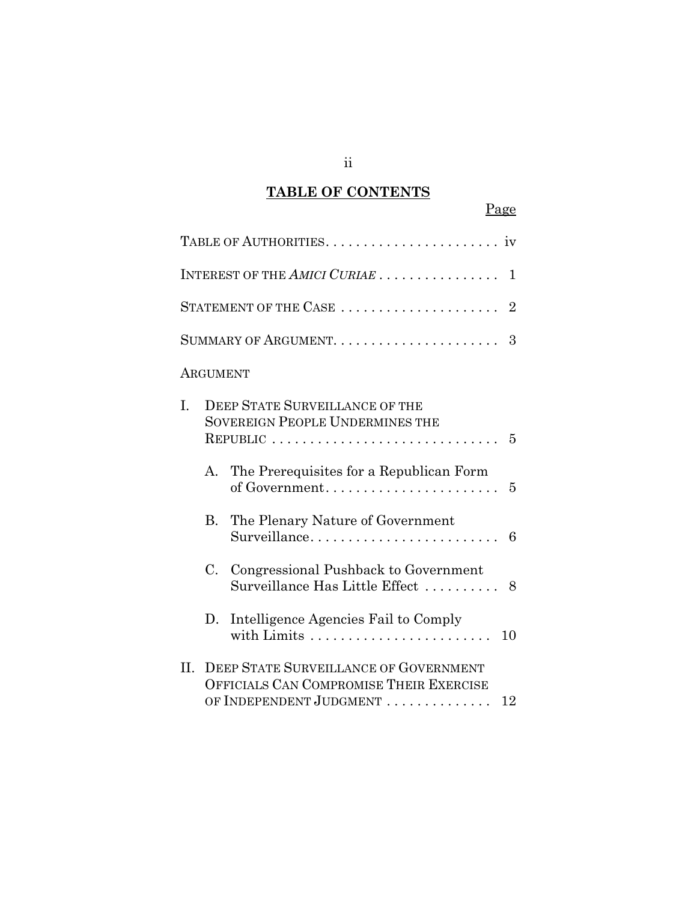## **TABLE OF CONTENTS**

|     |                                                                                                  | Page                                                                                                              |
|-----|--------------------------------------------------------------------------------------------------|-------------------------------------------------------------------------------------------------------------------|
|     |                                                                                                  |                                                                                                                   |
|     |                                                                                                  | INTEREST OF THE AMICI CURIAE<br>1                                                                                 |
|     |                                                                                                  | STATEMENT OF THE CASE<br>$\overline{2}$                                                                           |
|     |                                                                                                  | 3                                                                                                                 |
|     | ARGUMENT                                                                                         |                                                                                                                   |
| I.  | <b>DEEP STATE SURVEILLANCE OF THE</b><br><b>SOVEREIGN PEOPLE UNDERMINES THE</b><br>5<br>REPUBLIC |                                                                                                                   |
|     | A.                                                                                               | The Prerequisites for a Republican Form<br>of Government<br>$\overline{5}$                                        |
|     | B.                                                                                               | The Plenary Nature of Government<br>Surveillance<br>6                                                             |
|     | C.                                                                                               | Congressional Pushback to Government<br>Surveillance Has Little Effect  8                                         |
|     | D.                                                                                               | Intelligence Agencies Fail to Comply<br>10                                                                        |
| II. |                                                                                                  | DEEP STATE SURVEILLANCE OF GOVERNMENT<br>OFFICIALS CAN COMPROMISE THEIR EXERCISE<br>OF INDEPENDENT JUDGMENT<br>12 |

ii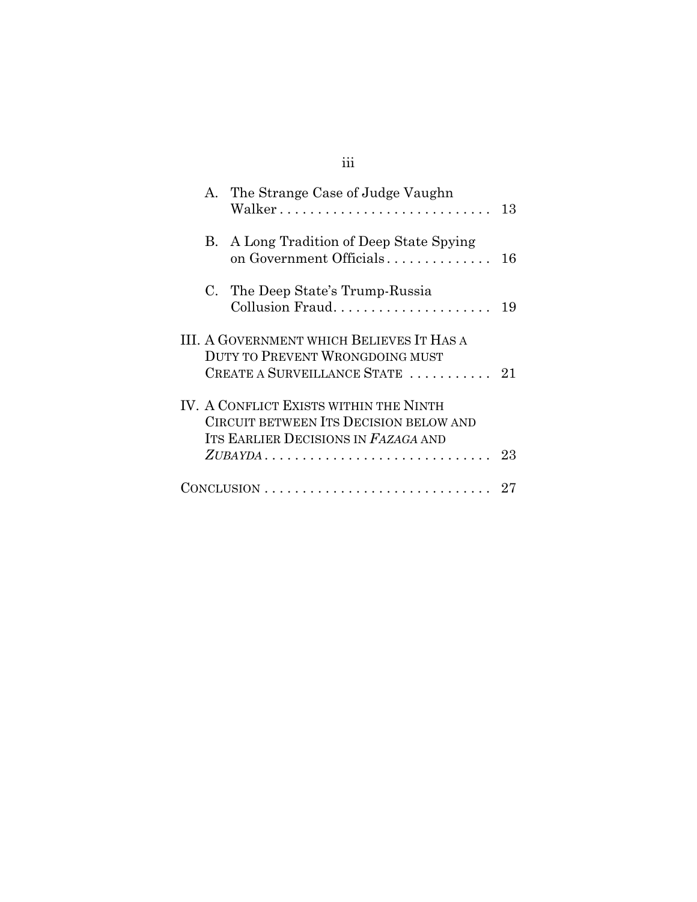## iii

|                                                                                                                                      |    | A. The Strange Case of Judge Vaughn<br>Walker                                                               | 13 |
|--------------------------------------------------------------------------------------------------------------------------------------|----|-------------------------------------------------------------------------------------------------------------|----|
|                                                                                                                                      |    | B. A Long Tradition of Deep State Spying<br>on Government Officials                                         | 16 |
|                                                                                                                                      | C. | The Deep State's Trump-Russia                                                                               | 19 |
|                                                                                                                                      |    | III. A GOVERNMENT WHICH BELIEVES IT HAS A<br>DUTY TO PREVENT WRONGDOING MUST<br>CREATE A SURVEILLANCE STATE | 21 |
| IV. A CONFLICT EXISTS WITHIN THE NINTH<br>CIRCUIT BETWEEN ITS DECISION BELOW AND<br>ITS EARLIER DECISIONS IN FAZAGA AND<br>$ZUBAYDA$ |    |                                                                                                             | 23 |
|                                                                                                                                      |    | $CONCLUSION \ldots \ldots \ldots \ldots \ldots \ldots \ldots \ldots \ldots$                                 |    |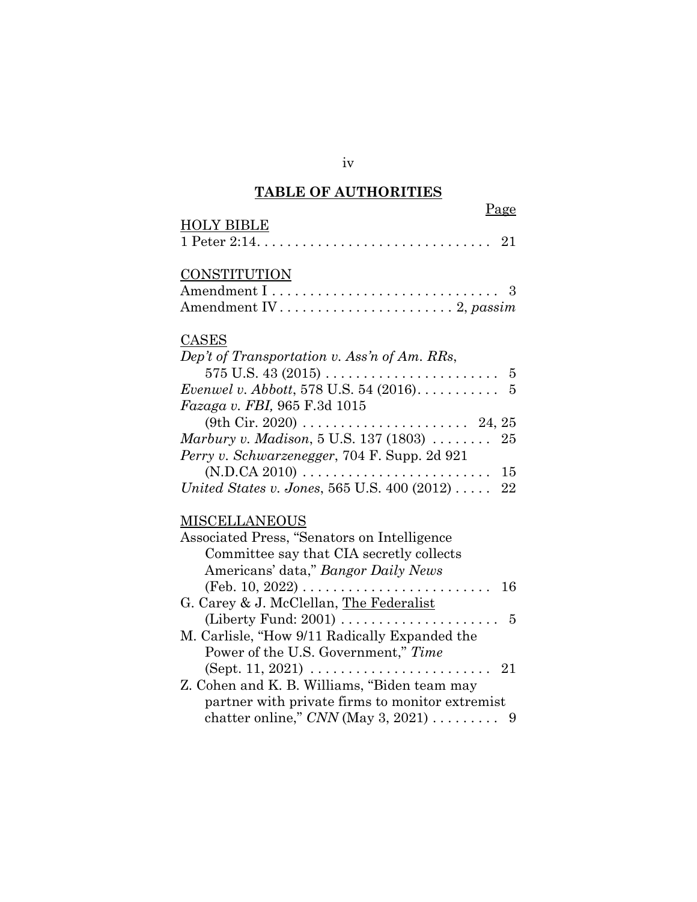## **TABLE OF AUTHORITIES**

| Page<br><b>HOLY BIBLE</b>                                              |
|------------------------------------------------------------------------|
| 21                                                                     |
| <b>CONSTITUTION</b>                                                    |
|                                                                        |
| CASES                                                                  |
| Dep't of Transportation v. Ass'n of Am. RRs,                           |
|                                                                        |
| Fazaga v. FBI, 965 F.3d 1015                                           |
|                                                                        |
| Marbury v. Madison, $5$ U.S. $137$ $(1803)$<br>25                      |
| Perry v. Schwarzenegger, 704 F. Supp. 2d 921                           |
| $(N.D.CA 2010) \ldots \ldots \ldots \ldots \ldots \ldots \ldots$<br>15 |
| United States v. Jones, 565 U.S. 400 (2012)  22                        |
| MISCELLANEOUS                                                          |
| Associated Press, "Senators on Intelligence                            |
| Committee say that CIA secretly collects                               |
| Americans' data," Bangor Daily News                                    |
| (Feb. 10, 2022)<br>16<br>.                                             |
| G. Carey & J. McClellan, The Federalist                                |
| (Liberty Fund: 2001)<br>$\overline{5}$                                 |
| M. Carlisle, "How 9/11 Radically Expanded the                          |
| Power of the U.S. Government," Time                                    |
| $(Sept. 11, 2021) \ldots \ldots \ldots \ldots$<br>- 21<br>.            |
| Z. Cohen and K. B. Williams, "Biden team may                           |
| partner with private firms to monitor extremist                        |

chatter online," *CNN* (May 3, 2021) ......... 9

iv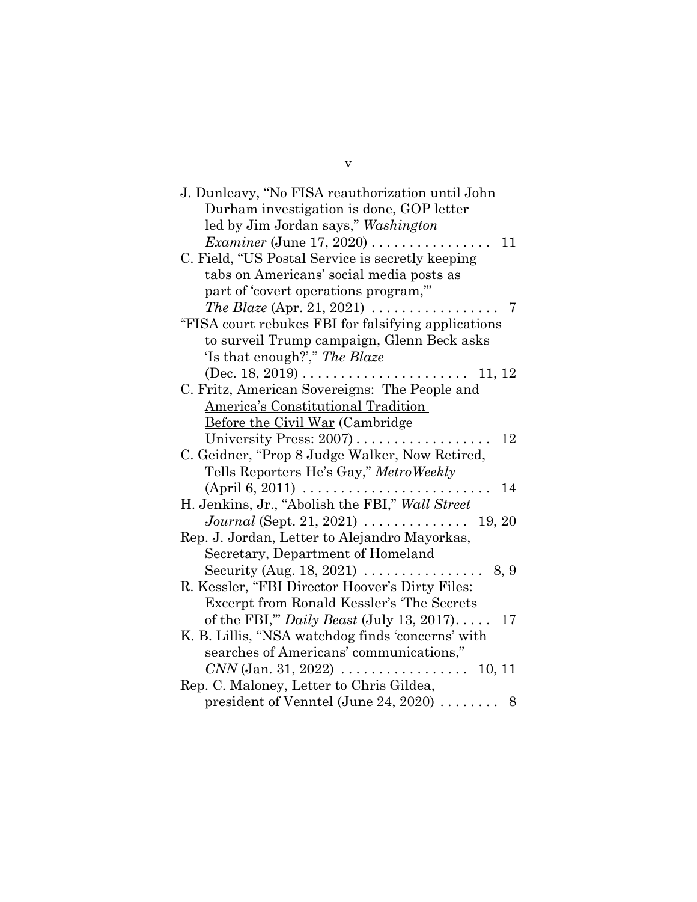| J. Dunleavy, "No FISA reauthorization until John                    |
|---------------------------------------------------------------------|
| Durham investigation is done, GOP letter                            |
| led by Jim Jordan says," Washington                                 |
| <i>Examiner</i> (June 17, 2020) $\ldots$<br>11                      |
| C. Field, "US Postal Service is secretly keeping                    |
| tabs on Americans' social media posts as                            |
| part of 'covert operations program,"                                |
| The Blaze (Apr. 21, 2021) $\ldots \ldots \ldots \ldots \ldots$<br>7 |
| "FISA court rebukes FBI for falsifying applications"                |
| to surveil Trump campaign, Glenn Beck asks                          |
| 'Is that enough?'," The Blaze                                       |
| 11, 12                                                              |
| C. Fritz, American Sovereigns: The People and                       |
| <b>America's Constitutional Tradition</b>                           |
| <b>Before the Civil War (Cambridge)</b>                             |
| University Press: 2007)<br>12                                       |
| C. Geidner, "Prop 8 Judge Walker, Now Retired,                      |
| Tells Reporters He's Gay," MetroWeekly                              |
| $(April 6, 2011) \ldots \ldots \ldots \ldots \ldots$<br>14          |
| H. Jenkins, Jr., "Abolish the FBI," Wall Street                     |
| Journal (Sept. 21, 2021) $\ldots \ldots \ldots \ldots$<br>19, 20    |
| Rep. J. Jordan, Letter to Alejandro Mayorkas,                       |
| Secretary, Department of Homeland                                   |
| Security (Aug. 18, 2021) $\dots \dots \dots \dots$<br>8, 9          |
| R. Kessler, "FBI Director Hoover's Dirty Files:                     |
| Excerpt from Ronald Kessler's 'The Secrets                          |
| of the FBI," Daily Beast (July 13, 2017)<br>17                      |
| K. B. Lillis, "NSA watchdog finds 'concerns' with                   |
| searches of Americans' communications,"                             |
| $CNN$ (Jan. 31, 2022) $\ldots \ldots \ldots \ldots \ldots 10, 11$   |
| Rep. C. Maloney, Letter to Chris Gildea,                            |
| president of Venntel (June 24, 2020) $\ldots \ldots$ 8              |

v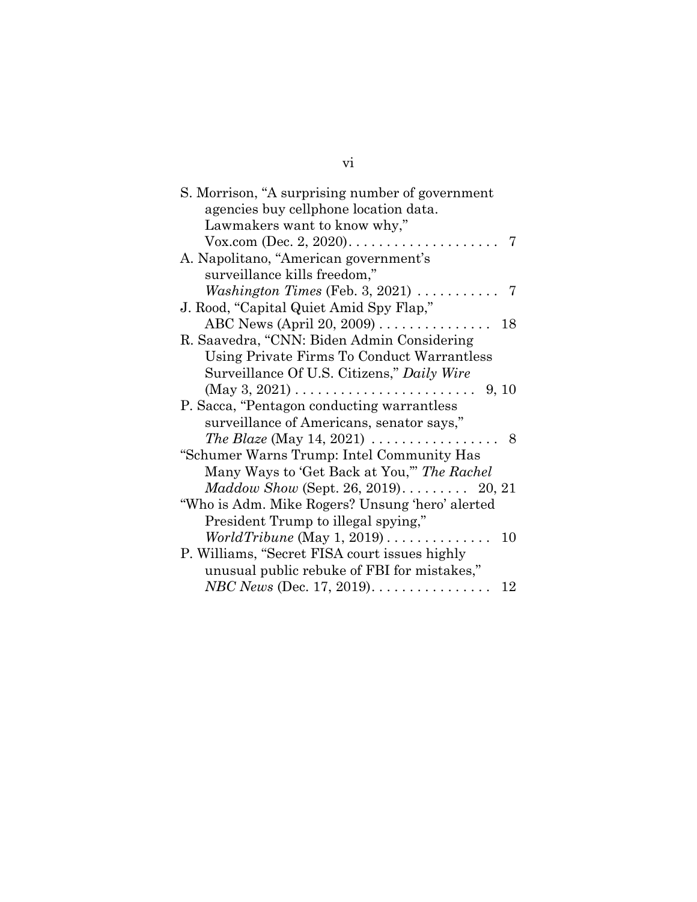| S. Morrison, "A surprising number of government                          |  |  |
|--------------------------------------------------------------------------|--|--|
| agencies buy cellphone location data.                                    |  |  |
| Lawmakers want to know why,"                                             |  |  |
| 7                                                                        |  |  |
| A. Napolitano, "American government's                                    |  |  |
| surveillance kills freedom,"                                             |  |  |
| <i>Washington Times</i> (Feb. 3, 2021) $\ldots \ldots \ldots$<br>7       |  |  |
| J. Rood, "Capital Quiet Amid Spy Flap,"                                  |  |  |
| ABC News (April 20, 2009) $\ldots \ldots \ldots \ldots \ldots$ 18        |  |  |
| R. Saavedra, "CNN: Biden Admin Considering                               |  |  |
| Using Private Firms To Conduct Warrantless                               |  |  |
| Surveillance Of U.S. Citizens," Daily Wire                               |  |  |
| 9, 10                                                                    |  |  |
| P. Sacca, "Pentagon conducting warrantless"                              |  |  |
| surveillance of Americans, senator says,"                                |  |  |
| <i>The Blaze</i> (May 14, 2021) $\ldots \ldots \ldots \ldots \ldots$ . 8 |  |  |
| "Schumer Warns Trump: Intel Community Has                                |  |  |
| Many Ways to 'Get Back at You," The Rachel                               |  |  |
| $Maddown Show$ (Sept. 26, 2019) 20, 21                                   |  |  |
| "Who is Adm. Mike Rogers? Unsung 'hero' alerted                          |  |  |
| President Trump to illegal spying,"                                      |  |  |
| $World Tribune$ (May 1, 2019)<br>10                                      |  |  |
| P. Williams, "Secret FISA court issues highly                            |  |  |
| unusual public rebuke of FBI for mistakes,"                              |  |  |
| <i>NBC News</i> (Dec. 17, 2019). $\dots \dots \dots \dots$<br>12         |  |  |

vi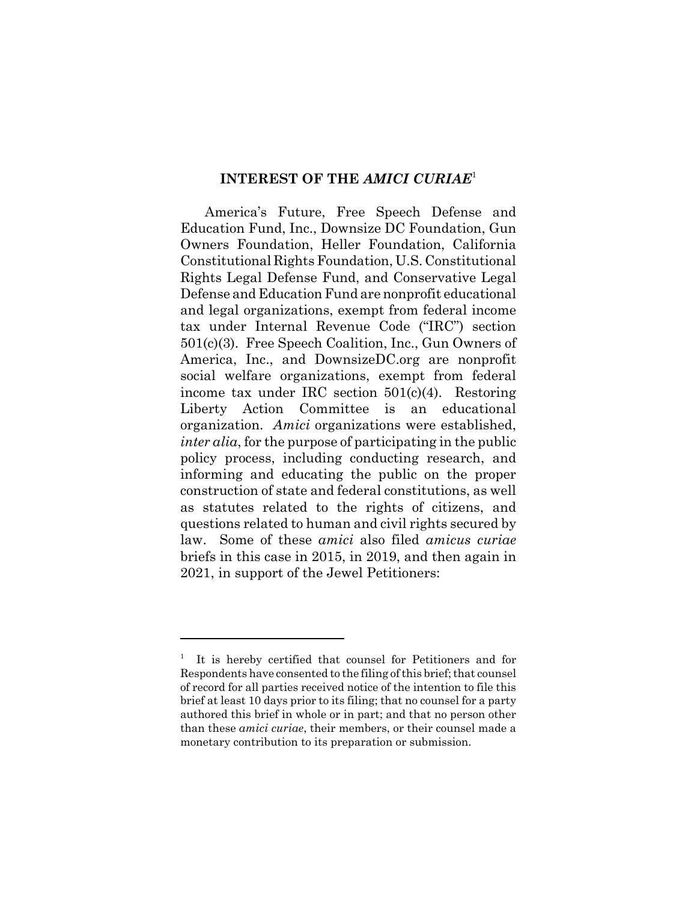#### **INTEREST OF THE** *AMICI CURIAE*<sup>1</sup>

America's Future, Free Speech Defense and Education Fund, Inc., Downsize DC Foundation, Gun Owners Foundation, Heller Foundation, California Constitutional Rights Foundation, U.S. Constitutional Rights Legal Defense Fund, and Conservative Legal Defense and Education Fund are nonprofit educational and legal organizations, exempt from federal income tax under Internal Revenue Code ("IRC") section 501(c)(3). Free Speech Coalition, Inc., Gun Owners of America, Inc., and DownsizeDC.org are nonprofit social welfare organizations, exempt from federal income tax under IRC section 501(c)(4). Restoring Liberty Action Committee is an educational organization. *Amici* organizations were established, *inter alia*, for the purpose of participating in the public policy process, including conducting research, and informing and educating the public on the proper construction of state and federal constitutions, as well as statutes related to the rights of citizens, and questions related to human and civil rights secured by law. Some of these *amici* also filed *amicus curiae* briefs in this case in 2015, in 2019, and then again in 2021, in support of the Jewel Petitioners:

<sup>1</sup> It is hereby certified that counsel for Petitioners and for Respondents have consented to the filing of this brief; that counsel of record for all parties received notice of the intention to file this brief at least 10 days prior to its filing; that no counsel for a party authored this brief in whole or in part; and that no person other than these *amici curiae*, their members, or their counsel made a monetary contribution to its preparation or submission.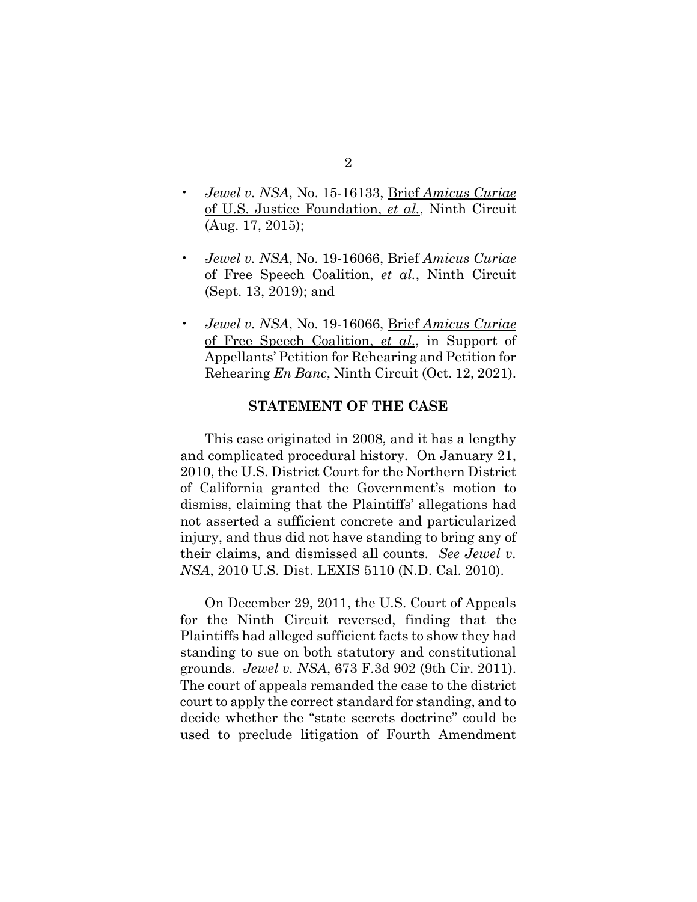- *Jewel v. NSA*, No. 15-16133, Brief *Amicus Curiae* of U.S. Justice Foundation, *et al.*, Ninth Circuit (Aug. 17, 2015);
- *Jewel v. NSA*, No. 19-16066, Brief *Amicus Curiae* of Free Speech Coalition, *et al.*, Ninth Circuit (Sept. 13, 2019); and
- *Jewel v. NSA*, No. 19-16066, Brief *Amicus Curiae* of Free Speech Coalition, *et al*., in Support of Appellants' Petition for Rehearing and Petition for Rehearing *En Banc*, Ninth Circuit (Oct. 12, 2021).

#### **STATEMENT OF THE CASE**

This case originated in 2008, and it has a lengthy and complicated procedural history. On January 21, 2010, the U.S. District Court for the Northern District of California granted the Government's motion to dismiss, claiming that the Plaintiffs' allegations had not asserted a sufficient concrete and particularized injury, and thus did not have standing to bring any of their claims, and dismissed all counts. *See Jewel v. NSA*, 2010 U.S. Dist. LEXIS 5110 (N.D. Cal. 2010).

On December 29, 2011, the U.S. Court of Appeals for the Ninth Circuit reversed, finding that the Plaintiffs had alleged sufficient facts to show they had standing to sue on both statutory and constitutional grounds. *Jewel v. NSA*, 673 F.3d 902 (9th Cir. 2011). The court of appeals remanded the case to the district court to apply the correct standard for standing, and to decide whether the "state secrets doctrine" could be used to preclude litigation of Fourth Amendment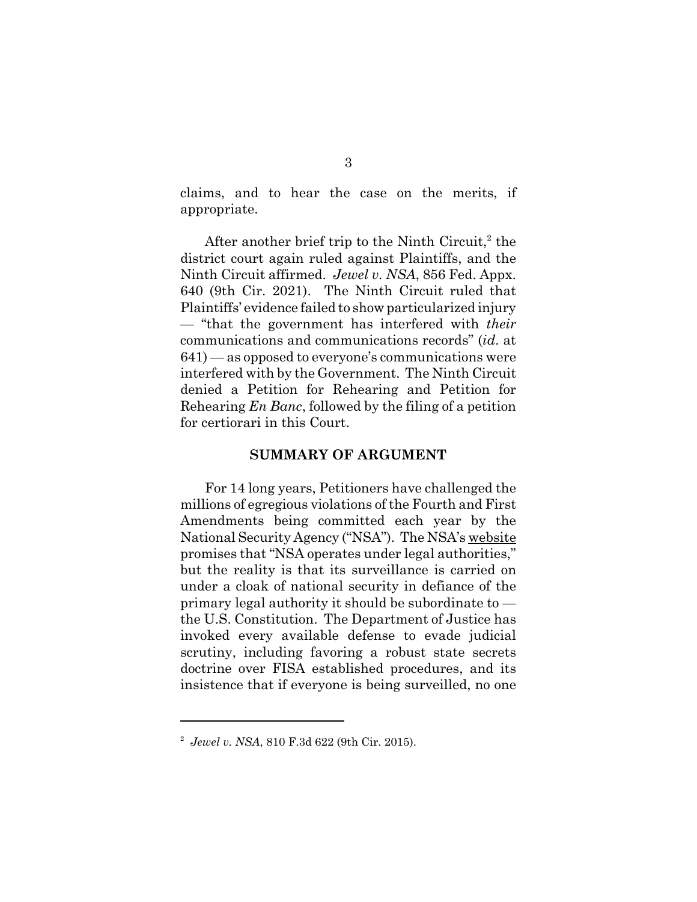claims, and to hear the case on the merits, if appropriate.

After another brief trip to the Ninth Circuit,<sup>2</sup> the district court again ruled against Plaintiffs, and the Ninth Circuit affirmed. *Jewel v. NSA*, 856 Fed. Appx. 640 (9th Cir. 2021). The Ninth Circuit ruled that Plaintiffs' evidence failed to show particularized injury — "that the government has interfered with *their* communications and communications records" (*id*. at 641) — as opposed to everyone's communications were interfered with by the Government. The Ninth Circuit denied a Petition for Rehearing and Petition for Rehearing *En Banc*, followed by the filing of a petition for certiorari in this Court.

#### **SUMMARY OF ARGUMENT**

For 14 long years, Petitioners have challenged the millions of egregious violations of the Fourth and First Amendments being committed each year by the National Security Agency ("NSA"). The NSA's website promises that "NSA operates under legal authorities," but the reality is that its surveillance is carried on under a cloak of national security in defiance of the primary legal authority it should be subordinate to the U.S. Constitution. The Department of Justice has invoked every available defense to evade judicial scrutiny, including favoring a robust state secrets doctrine over FISA established procedures, and its insistence that if everyone is being surveilled, no one

<sup>2</sup> *Jewel v. NSA*, 810 F.3d 622 (9th Cir. 2015).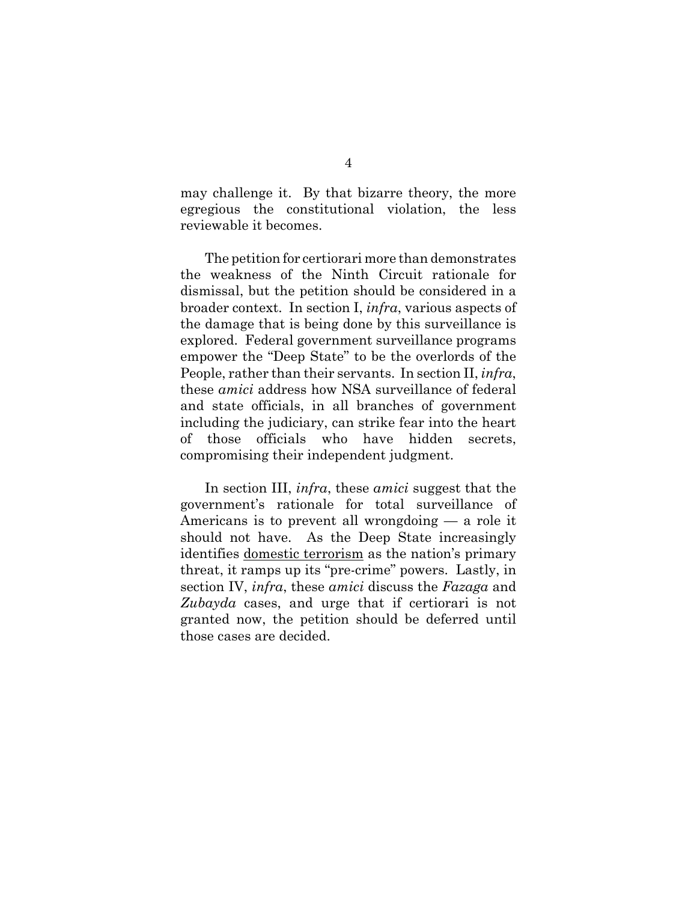may challenge it. By that bizarre theory, the more egregious the constitutional violation, the less reviewable it becomes.

The petition for certiorari more than demonstrates the weakness of the Ninth Circuit rationale for dismissal, but the petition should be considered in a broader context. In section I, *infra*, various aspects of the damage that is being done by this surveillance is explored. Federal government surveillance programs empower the "Deep State" to be the overlords of the People, rather than their servants. In section II, *infra*, these *amici* address how NSA surveillance of federal and state officials, in all branches of government including the judiciary, can strike fear into the heart of those officials who have hidden secrets, compromising their independent judgment.

In section III, *infra*, these *amici* suggest that the government's rationale for total surveillance of Americans is to prevent all wrongdoing — a role it should not have. As the Deep State increasingly identifies domestic terrorism as the nation's primary threat, it ramps up its "pre-crime" powers. Lastly, in section IV, *infra*, these *amici* discuss the *Fazaga* and *Zubayda* cases, and urge that if certiorari is not granted now, the petition should be deferred until those cases are decided.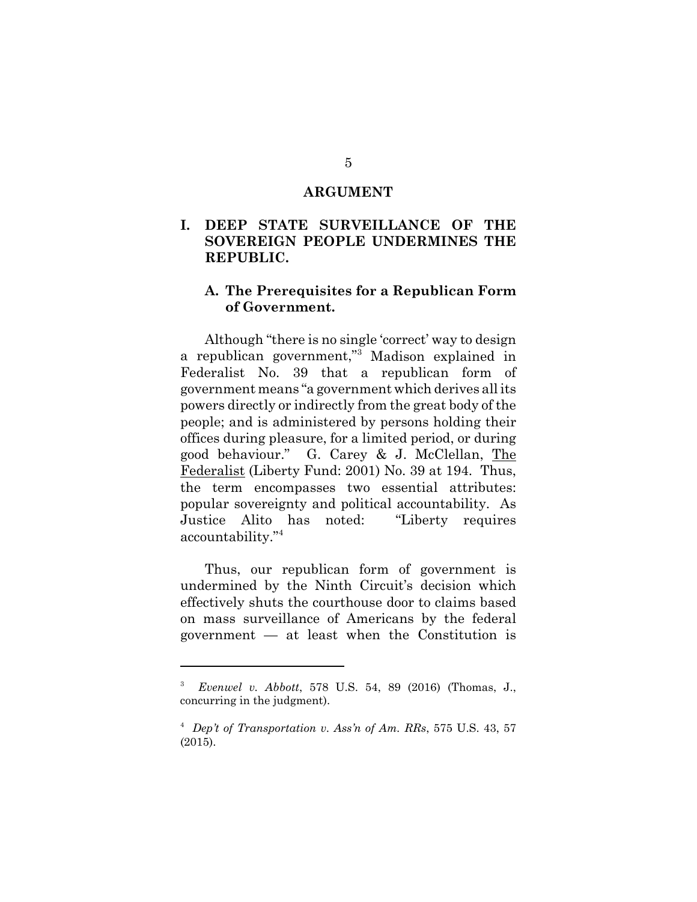#### **ARGUMENT**

## **I. DEEP STATE SURVEILLANCE OF THE SOVEREIGN PEOPLE UNDERMINES THE REPUBLIC.**

#### **A. The Prerequisites for a Republican Form of Government.**

Although "there is no single 'correct' way to design a republican government," Madison explained in Federalist No. 39 that a republican form of government means "a government which derives all its powers directly or indirectly from the great body of the people; and is administered by persons holding their offices during pleasure, for a limited period, or during good behaviour." G. Carey & J. McClellan, The Federalist (Liberty Fund: 2001) No. 39 at 194. Thus, the term encompasses two essential attributes: popular sovereignty and political accountability. As Justice Alito has noted: "Liberty requires accountability."<sup>4</sup>

Thus, our republican form of government is undermined by the Ninth Circuit's decision which effectively shuts the courthouse door to claims based on mass surveillance of Americans by the federal government — at least when the Constitution is

<sup>3</sup> *Evenwel v. Abbott*, 578 U.S. 54, 89 (2016) (Thomas, J., concurring in the judgment).

<sup>4</sup> *Dep't of Transportation v. Ass'n of Am. RRs*, 575 U.S. 43, 57 (2015).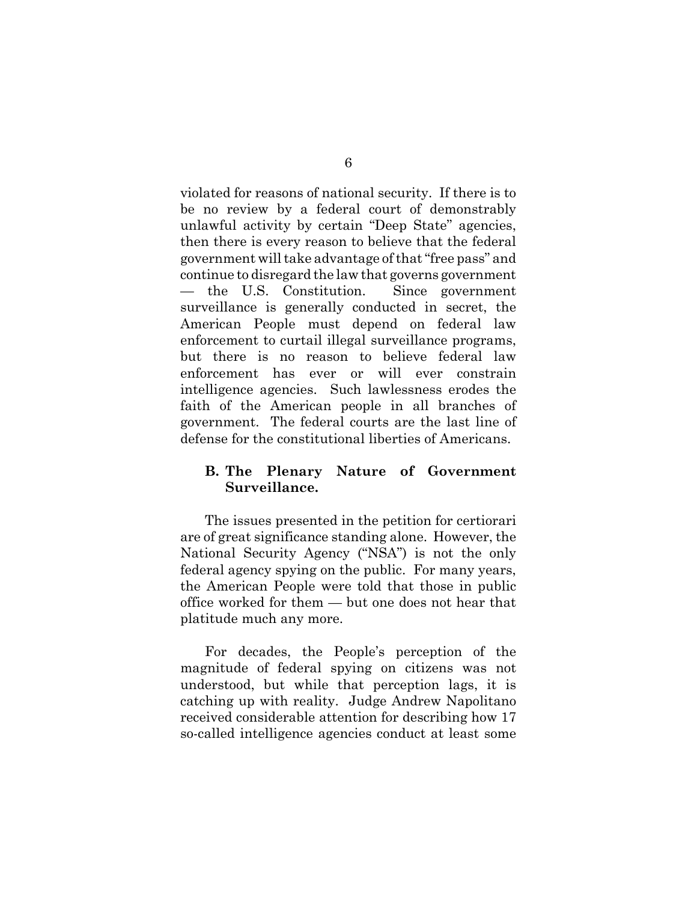violated for reasons of national security. If there is to be no review by a federal court of demonstrably unlawful activity by certain "Deep State" agencies, then there is every reason to believe that the federal government will take advantage of that "free pass" and continue to disregard the law that governs government — the U.S. Constitution. Since government surveillance is generally conducted in secret, the American People must depend on federal law enforcement to curtail illegal surveillance programs, but there is no reason to believe federal law enforcement has ever or will ever constrain intelligence agencies. Such lawlessness erodes the faith of the American people in all branches of government. The federal courts are the last line of defense for the constitutional liberties of Americans.

### **B. The Plenary Nature of Government Surveillance.**

The issues presented in the petition for certiorari are of great significance standing alone. However, the National Security Agency ("NSA") is not the only federal agency spying on the public. For many years, the American People were told that those in public office worked for them — but one does not hear that platitude much any more.

For decades, the People's perception of the magnitude of federal spying on citizens was not understood, but while that perception lags, it is catching up with reality. Judge Andrew Napolitano received considerable attention for describing how 17 so-called intelligence agencies conduct at least some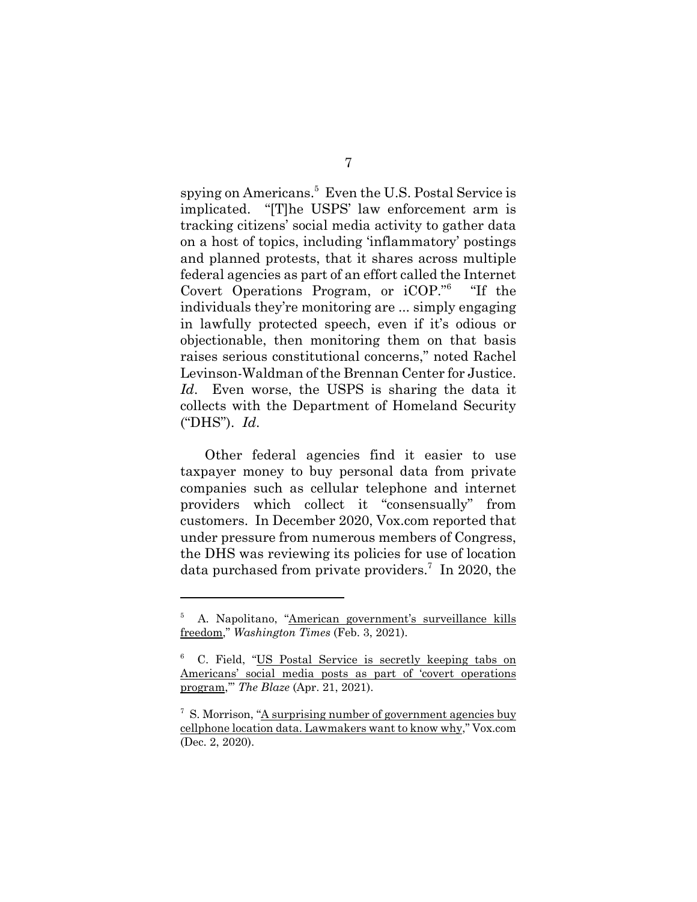spying on Americans.<sup>5</sup> Even the U.S. Postal Service is implicated. "[T]he USPS' law enforcement arm is tracking citizens' social media activity to gather data on a host of topics, including 'inflammatory' postings and planned protests, that it shares across multiple federal agencies as part of an effort called the Internet Covert Operations Program, or iCOP."6 "If the individuals they're monitoring are ... simply engaging in lawfully protected speech, even if it's odious or objectionable, then monitoring them on that basis raises serious constitutional concerns," noted Rachel Levinson-Waldman of the Brennan Center for Justice. *Id*. Even worse, the USPS is sharing the data it collects with the Department of Homeland Security ("DHS"). *Id*.

Other federal agencies find it easier to use taxpayer money to buy personal data from private companies such as cellular telephone and internet providers which collect it "consensually" from customers. In December 2020, Vox.com reported that under pressure from numerous members of Congress, the DHS was reviewing its policies for use of location data purchased from private providers.<sup>7</sup> In 2020, the

<sup>5</sup> A. Napolitano, "American government's surveillance kills freedom," *Washington Times* (Feb. 3, 2021).

<sup>6</sup> C. Field, "US Postal Service is secretly keeping tabs on Americans' social media posts as part of 'covert operations program,'" *The Blaze* (Apr. 21, 2021).

<sup>&</sup>lt;sup>7</sup> S. Morrison, "A surprising number of government agencies buy cellphone location data. Lawmakers want to know why," Vox.com (Dec. 2, 2020).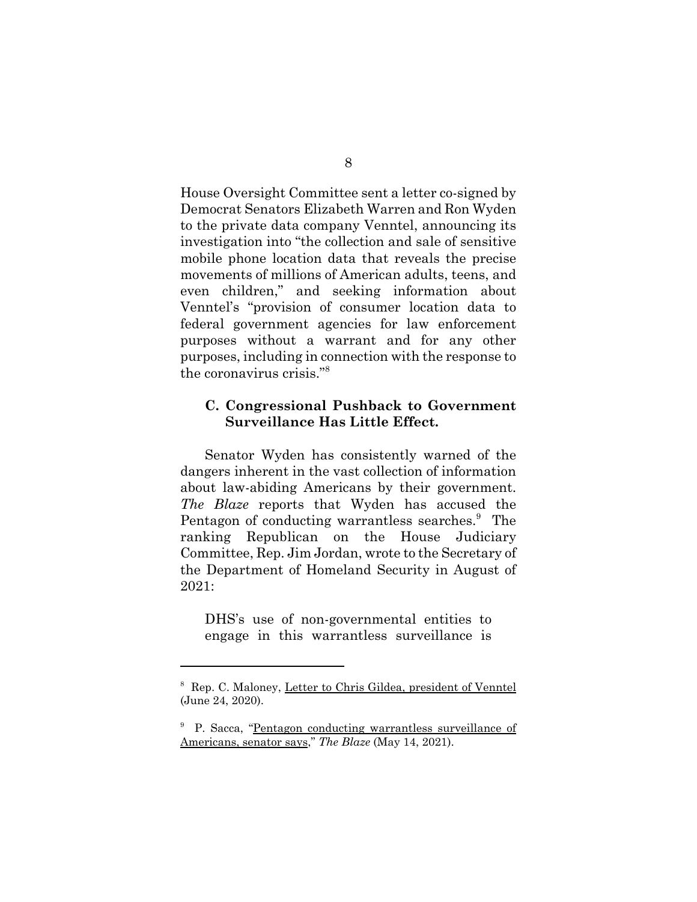House Oversight Committee sent a letter co-signed by Democrat Senators Elizabeth Warren and Ron Wyden to the private data company Venntel, announcing its investigation into "the collection and sale of sensitive mobile phone location data that reveals the precise movements of millions of American adults, teens, and even children," and seeking information about Venntel's "provision of consumer location data to federal government agencies for law enforcement purposes without a warrant and for any other purposes, including in connection with the response to the coronavirus crisis."8

#### **C. Congressional Pushback to Government Surveillance Has Little Effect.**

Senator Wyden has consistently warned of the dangers inherent in the vast collection of information about law-abiding Americans by their government. *The Blaze* reports that Wyden has accused the Pentagon of conducting warrantless searches.<sup>9</sup> The ranking Republican on the House Judiciary Committee, Rep. Jim Jordan, wrote to the Secretary of the Department of Homeland Security in August of 2021:

DHS's use of non-governmental entities to engage in this warrantless surveillance is

<sup>&</sup>lt;sup>8</sup> Rep. C. Maloney, Letter to Chris Gildea, president of Venntel (June 24, 2020).

<sup>&</sup>lt;sup>9</sup> P. Sacca, "Pentagon conducting warrantless surveillance of Americans, senator says," *The Blaze* (May 14, 2021).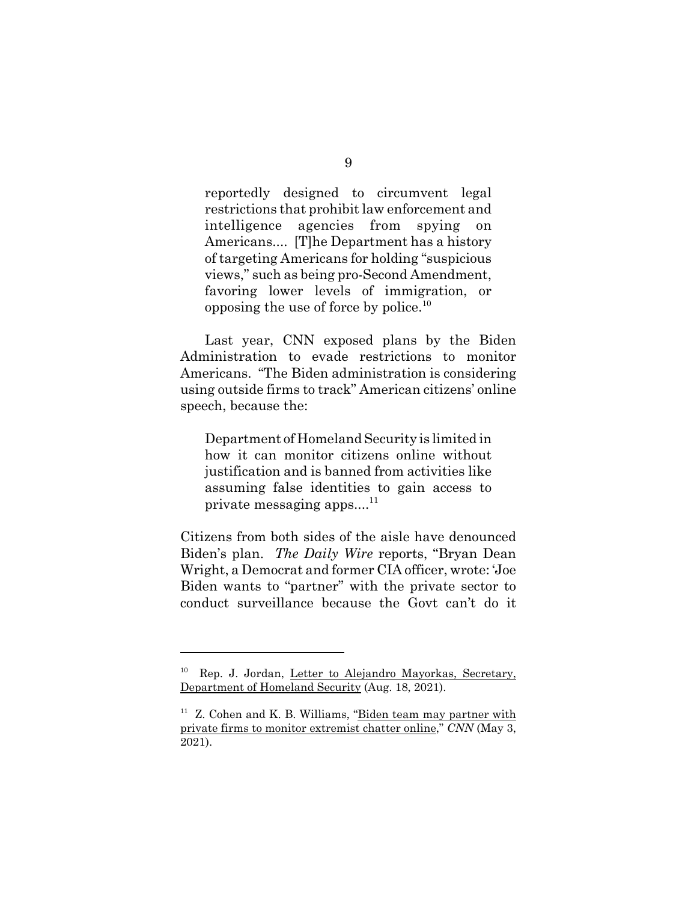reportedly designed to circumvent legal restrictions that prohibit law enforcement and intelligence agencies from spying on Americans.... [T]he Department has a history of targeting Americans for holding "suspicious views," such as being pro-Second Amendment, favoring lower levels of immigration, or opposing the use of force by police.<sup>10</sup>

Last year, CNN exposed plans by the Biden Administration to evade restrictions to monitor Americans. "The Biden administration is considering using outside firms to track" American citizens' online speech, because the:

Department of Homeland Security is limited in how it can monitor citizens online without justification and is banned from activities like assuming false identities to gain access to private messaging apps... $^{11}$ 

Citizens from both sides of the aisle have denounced Biden's plan. *The Daily Wire* reports, "Bryan Dean Wright, a Democrat and former CIA officer, wrote: 'Joe Biden wants to "partner" with the private sector to conduct surveillance because the Govt can't do it

<sup>10</sup> Rep. J. Jordan, Letter to Alejandro Mayorkas, Secretary, Department of Homeland Security (Aug. 18, 2021).

 $11$  Z. Cohen and K. B. Williams, "Biden team may partner with private firms to monitor extremist chatter online," *CNN* (May 3, 2021).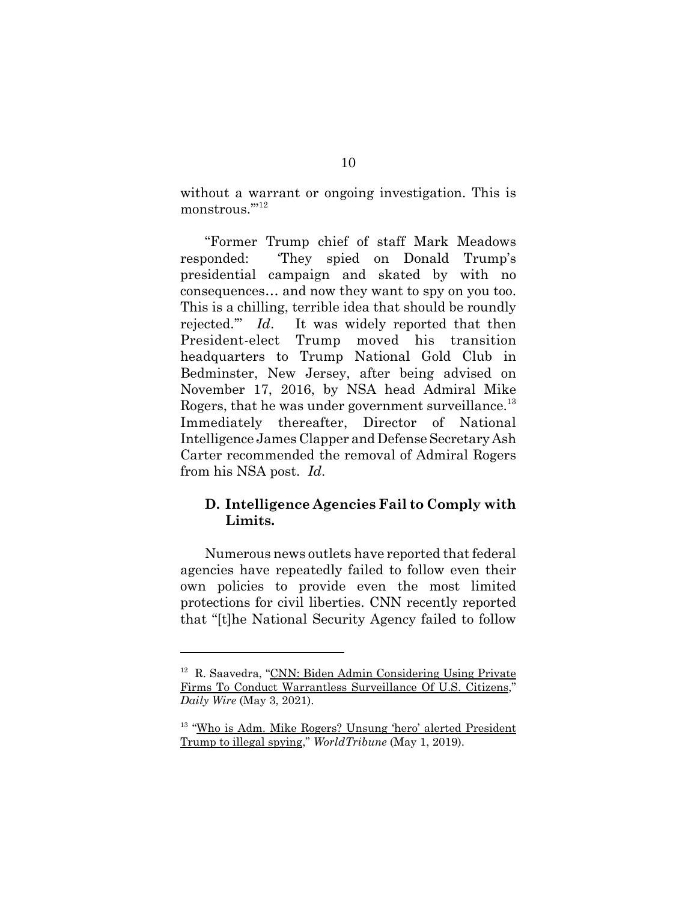without a warrant or ongoing investigation. This is monstrous.'"12

"Former Trump chief of staff Mark Meadows responded: 'They spied on Donald Trump's presidential campaign and skated by with no consequences… and now they want to spy on you too. This is a chilling, terrible idea that should be roundly rejected.'" *Id*. It was widely reported that then President-elect Trump moved his transition headquarters to Trump National Gold Club in Bedminster, New Jersey, after being advised on November 17, 2016, by NSA head Admiral Mike Rogers, that he was under government surveillance.<sup>13</sup> Immediately thereafter, Director of National Intelligence James Clapper and Defense Secretary Ash Carter recommended the removal of Admiral Rogers from his NSA post. *Id*.

### **D. Intelligence Agencies Fail to Comply with Limits.**

Numerous news outlets have reported that federal agencies have repeatedly failed to follow even their own policies to provide even the most limited protections for civil liberties. CNN recently reported that "[t]he National Security Agency failed to follow

<sup>&</sup>lt;sup>12</sup> R. Saavedra, "CNN: Biden Admin Considering Using Private Firms To Conduct Warrantless Surveillance Of U.S. Citizens," *Daily Wire* (May 3, 2021).

<sup>13 &</sup>quot;Who is Adm. Mike Rogers? Unsung 'hero' alerted President Trump to illegal spying," *WorldTribune* (May 1, 2019).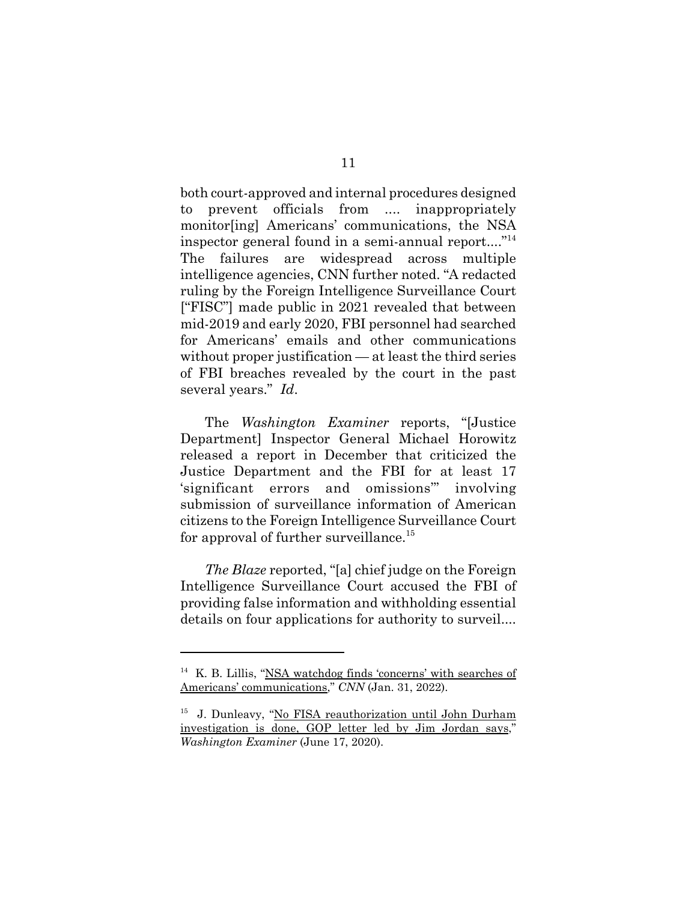both court-approved and internal procedures designed to prevent officials from .... inappropriately monitor[ing] Americans' communications, the NSA inspector general found in a semi-annual report...."<sup>14</sup> The failures are widespread across multiple intelligence agencies, CNN further noted. "A redacted ruling by the Foreign Intelligence Surveillance Court ["FISC"] made public in 2021 revealed that between mid-2019 and early 2020, FBI personnel had searched for Americans' emails and other communications without proper justification — at least the third series of FBI breaches revealed by the court in the past several years." *Id*.

The *Washington Examiner* reports, "[Justice Department] Inspector General Michael Horowitz released a report in December that criticized the Justice Department and the FBI for at least 17 'significant errors and omissions'" involving submission of surveillance information of American citizens to the Foreign Intelligence Surveillance Court for approval of further surveillance.<sup>15</sup>

*The Blaze* reported, "[a] chief judge on the Foreign Intelligence Surveillance Court accused the FBI of providing false information and withholding essential details on four applications for authority to surveil....

 $14$  K. B. Lillis, "NSA watchdog finds 'concerns' with searches of Americans' communications," *CNN* (Jan. 31, 2022).

<sup>&</sup>lt;sup>15</sup> J. Dunleavy, "No FISA reauthorization until John Durham investigation is done, GOP letter led by Jim Jordan says," *Washington Examiner* (June 17, 2020).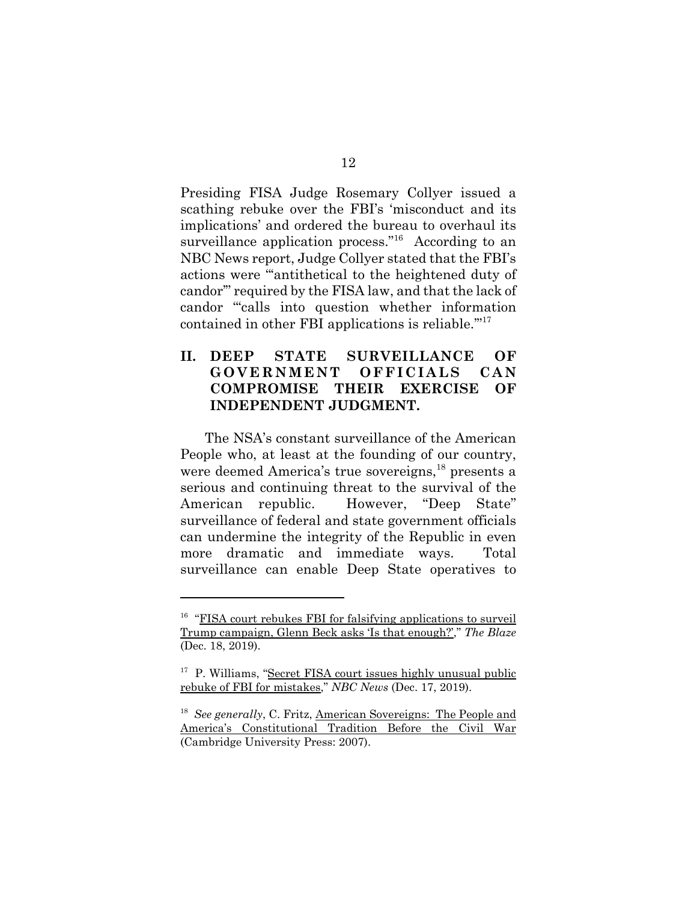Presiding FISA Judge Rosemary Collyer issued a scathing rebuke over the FBI's 'misconduct and its implications' and ordered the bureau to overhaul its surveillance application process."<sup>16</sup> According to an NBC News report, Judge Collyer stated that the FBI's actions were "'antithetical to the heightened duty of candor'" required by the FISA law, and that the lack of candor "'calls into question whether information contained in other FBI applications is reliable."<sup>17</sup>

## **II. DEEP STATE SURVEILLANCE OF GOVERNMENT OFFICIALS CAN COMPROMISE THEIR EXERCISE OF INDEPENDENT JUDGMENT.**

The NSA's constant surveillance of the American People who, at least at the founding of our country, were deemed America's true sovereigns,<sup>18</sup> presents a serious and continuing threat to the survival of the American republic. However, "Deep State" surveillance of federal and state government officials can undermine the integrity of the Republic in even more dramatic and immediate ways. Total surveillance can enable Deep State operatives to

<sup>&</sup>lt;sup>16</sup> "FISA court rebukes FBI for falsifying applications to surveil Trump campaign, Glenn Beck asks 'Is that enough?'," *The Blaze* (Dec. 18, 2019).

<sup>&</sup>lt;sup>17</sup> P. Williams, "Secret FISA court issues highly unusual public rebuke of FBI for mistakes," *NBC News* (Dec. 17, 2019).

<sup>18</sup> *See generally*, C. Fritz, American Sovereigns: The People and America's Constitutional Tradition Before the Civil War (Cambridge University Press: 2007).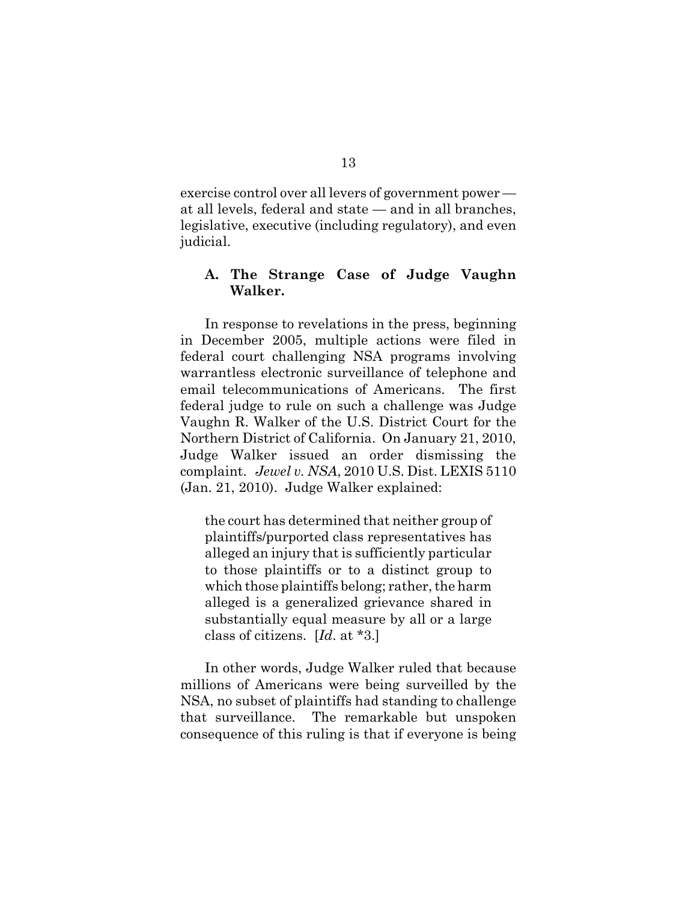exercise control over all levers of government power at all levels, federal and state — and in all branches, legislative, executive (including regulatory), and even judicial.

#### **A. The Strange Case of Judge Vaughn Walker.**

In response to revelations in the press, beginning in December 2005, multiple actions were filed in federal court challenging NSA programs involving warrantless electronic surveillance of telephone and email telecommunications of Americans. The first federal judge to rule on such a challenge was Judge Vaughn R. Walker of the U.S. District Court for the Northern District of California. On January 21, 2010, Judge Walker issued an order dismissing the complaint. *Jewel v. NSA*, 2010 U.S. Dist. LEXIS 5110 (Jan. 21, 2010). Judge Walker explained:

the court has determined that neither group of plaintiffs/purported class representatives has alleged an injury that is sufficiently particular to those plaintiffs or to a distinct group to which those plaintiffs belong; rather, the harm alleged is a generalized grievance shared in substantially equal measure by all or a large class of citizens. [*Id*. at \*3.]

In other words, Judge Walker ruled that because millions of Americans were being surveilled by the NSA, no subset of plaintiffs had standing to challenge that surveillance. The remarkable but unspoken consequence of this ruling is that if everyone is being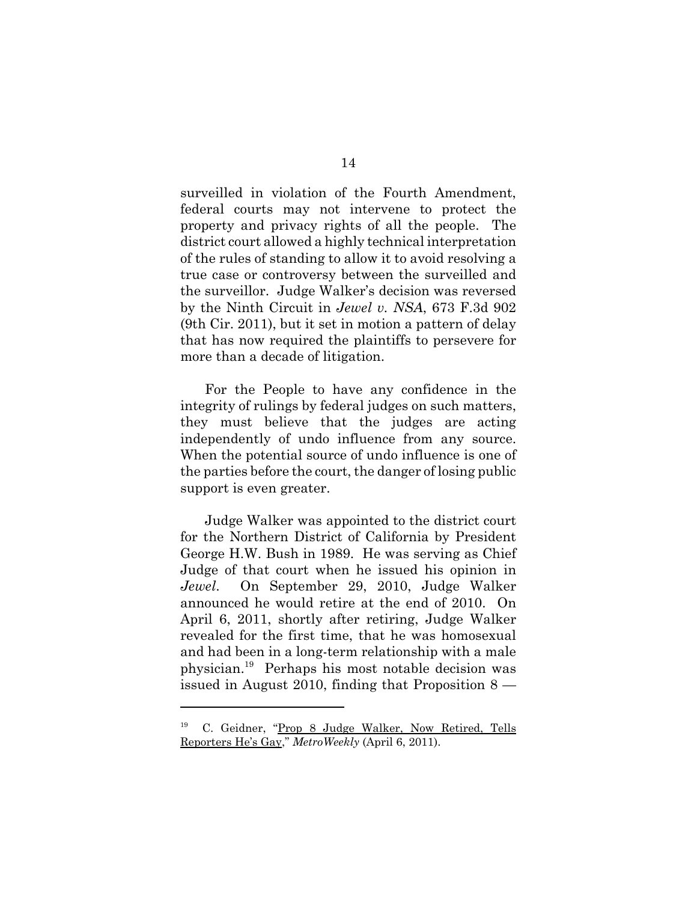surveilled in violation of the Fourth Amendment, federal courts may not intervene to protect the property and privacy rights of all the people. The district court allowed a highly technical interpretation of the rules of standing to allow it to avoid resolving a true case or controversy between the surveilled and the surveillor. Judge Walker's decision was reversed by the Ninth Circuit in *Jewel v. NSA*, 673 F.3d 902 (9th Cir. 2011), but it set in motion a pattern of delay that has now required the plaintiffs to persevere for more than a decade of litigation.

For the People to have any confidence in the integrity of rulings by federal judges on such matters, they must believe that the judges are acting independently of undo influence from any source. When the potential source of undo influence is one of the parties before the court, the danger of losing public support is even greater.

Judge Walker was appointed to the district court for the Northern District of California by President George H.W. Bush in 1989. He was serving as Chief Judge of that court when he issued his opinion in *Jewel*. On September 29, 2010, Judge Walker announced he would retire at the end of 2010. On April 6, 2011, shortly after retiring, Judge Walker revealed for the first time, that he was homosexual and had been in a long-term relationship with a male physician.19 Perhaps his most notable decision was issued in August 2010, finding that Proposition  $8 -$ 

<sup>19</sup> C. Geidner, "Prop 8 Judge Walker, Now Retired, Tells Reporters He's Gay," *MetroWeekly* (April 6, 2011).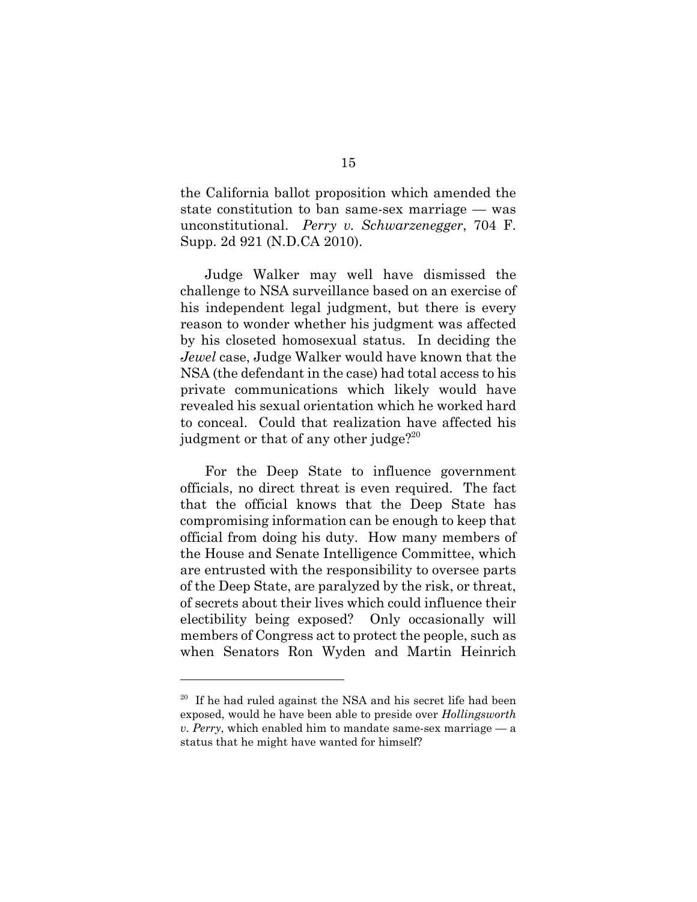the California ballot proposition which amended the state constitution to ban same-sex marriage — was unconstitutional. *Perry v. Schwarzenegger*, 704 F. Supp. 2d 921 (N.D.CA 2010).

Judge Walker may well have dismissed the challenge to NSA surveillance based on an exercise of his independent legal judgment, but there is every reason to wonder whether his judgment was affected by his closeted homosexual status. In deciding the *Jewel* case, Judge Walker would have known that the NSA (the defendant in the case) had total access to his private communications which likely would have revealed his sexual orientation which he worked hard to conceal. Could that realization have affected his judgment or that of any other judge? $2^{20}$ 

For the Deep State to influence government officials, no direct threat is even required. The fact that the official knows that the Deep State has compromising information can be enough to keep that official from doing his duty. How many members of the House and Senate Intelligence Committee, which are entrusted with the responsibility to oversee parts of the Deep State, are paralyzed by the risk, or threat, of secrets about their lives which could influence their electibility being exposed? Only occasionally will members of Congress act to protect the people, such as when Senators Ron Wyden and Martin Heinrich

 $20$  If he had ruled against the NSA and his secret life had been exposed, would he have been able to preside over *Hollingsworth v. Perry*, which enabled him to mandate same-sex marriage — a status that he might have wanted for himself?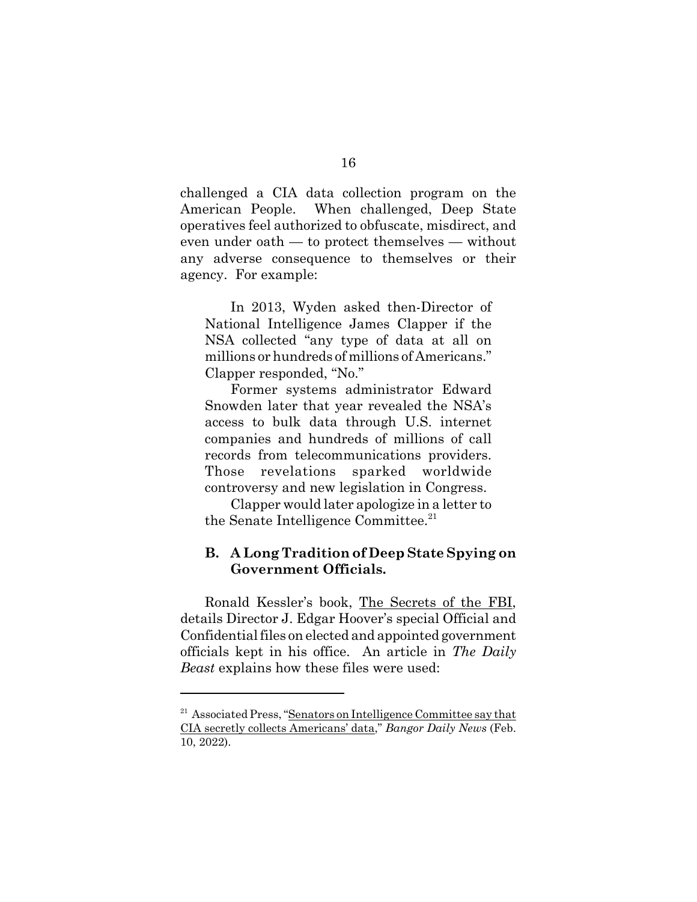challenged a CIA data collection program on the American People. When challenged, Deep State operatives feel authorized to obfuscate, misdirect, and even under oath — to protect themselves — without any adverse consequence to themselves or their agency. For example:

In 2013, Wyden asked then-Director of National Intelligence James Clapper if the NSA collected "any type of data at all on millions or hundreds of millions of Americans." Clapper responded, "No."

Former systems administrator Edward Snowden later that year revealed the NSA's access to bulk data through U.S. internet companies and hundreds of millions of call records from telecommunications providers. Those revelations sparked worldwide controversy and new legislation in Congress.

Clapper would later apologize in a letter to the Senate Intelligence Committee. $21$ 

### **B. A Long Tradition of Deep State Spying on Government Officials.**

Ronald Kessler's book, The Secrets of the FBI, details Director J. Edgar Hoover's special Official and Confidential files on elected and appointed government officials kept in his office. An article in *The Daily Beast* explains how these files were used:

<sup>&</sup>lt;sup>21</sup> Associated Press, "Senators on Intelligence Committee say that CIA secretly collects Americans' data," *Bangor Daily News* (Feb. 10, 2022).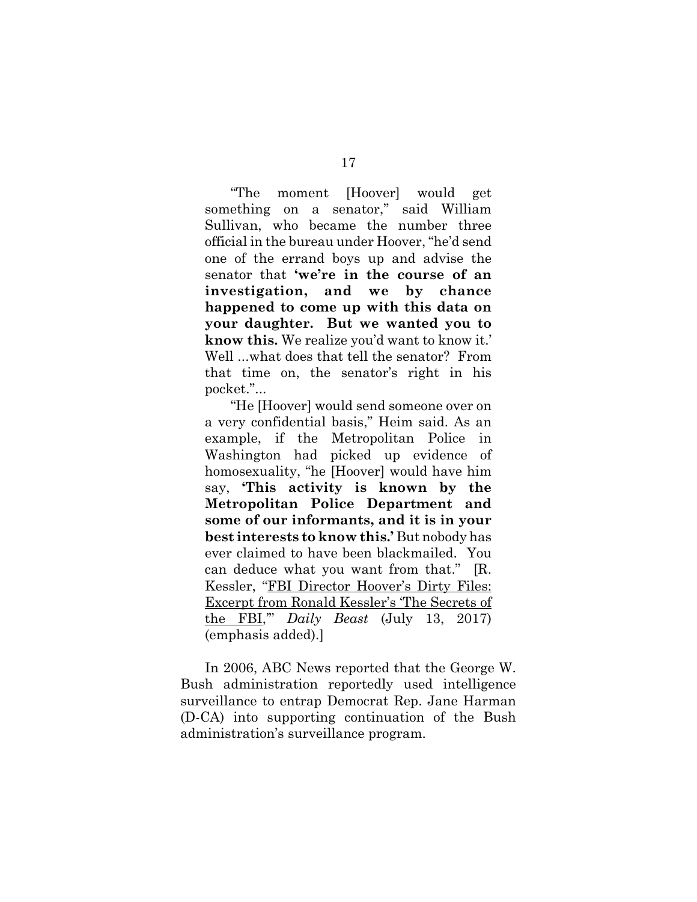"The moment [Hoover] would get something on a senator," said William Sullivan, who became the number three official in the bureau under Hoover, "he'd send one of the errand boys up and advise the senator that **'we're in the course of an investigation, and we by chance happened to come up with this data on your daughter. But we wanted you to know this.** We realize you'd want to know it.' Well ...what does that tell the senator? From that time on, the senator's right in his pocket."...

"He [Hoover] would send someone over on a very confidential basis," Heim said. As an example, if the Metropolitan Police in Washington had picked up evidence of homosexuality, "he [Hoover] would have him say, **'This activity is known by the Metropolitan Police Department and some of our informants, and it is in your best interests to know this.'** But nobody has ever claimed to have been blackmailed. You can deduce what you want from that." [R. Kessler, "FBI Director Hoover's Dirty Files: Excerpt from Ronald Kessler's 'The Secrets of the FBI,'" *Daily Beast* (July 13, 2017) (emphasis added).]

In 2006, ABC News reported that the George W. Bush administration reportedly used intelligence surveillance to entrap Democrat Rep. Jane Harman (D-CA) into supporting continuation of the Bush administration's surveillance program.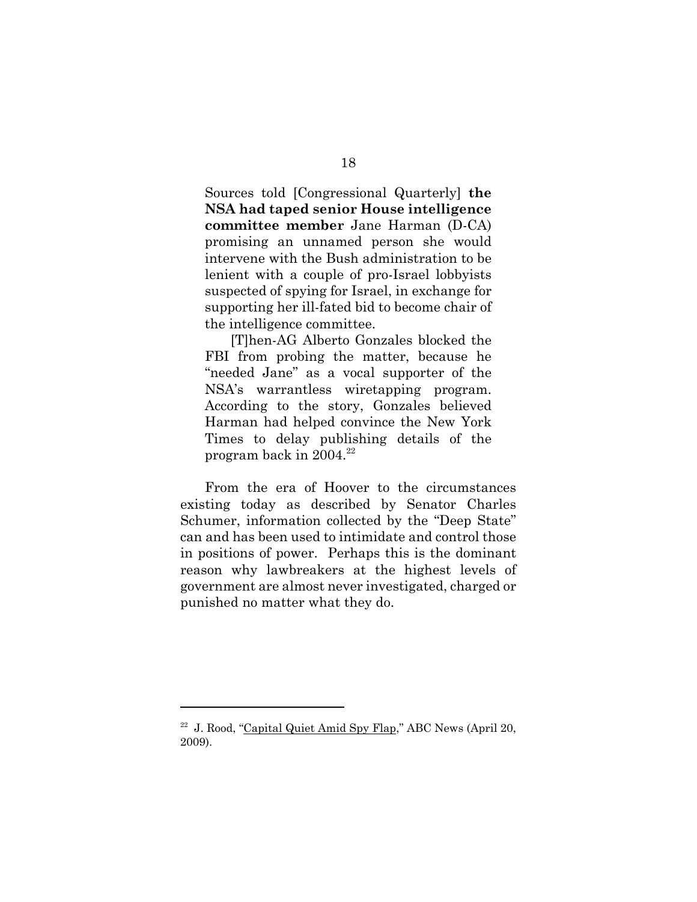Sources told [Congressional Quarterly] **the NSA had taped senior House intelligence committee member** Jane Harman (D-CA) promising an unnamed person she would intervene with the Bush administration to be lenient with a couple of pro-Israel lobbyists suspected of spying for Israel, in exchange for supporting her ill-fated bid to become chair of the intelligence committee.

[T]hen-AG Alberto Gonzales blocked the FBI from probing the matter, because he "needed Jane" as a vocal supporter of the NSA's warrantless wiretapping program. According to the story, Gonzales believed Harman had helped convince the New York Times to delay publishing details of the program back in  $2004.<sup>22</sup>$ 

From the era of Hoover to the circumstances existing today as described by Senator Charles Schumer, information collected by the "Deep State" can and has been used to intimidate and control those in positions of power. Perhaps this is the dominant reason why lawbreakers at the highest levels of government are almost never investigated, charged or punished no matter what they do.

 $22$  J. Rood, "Capital Quiet Amid Spy Flap," ABC News (April 20, 2009).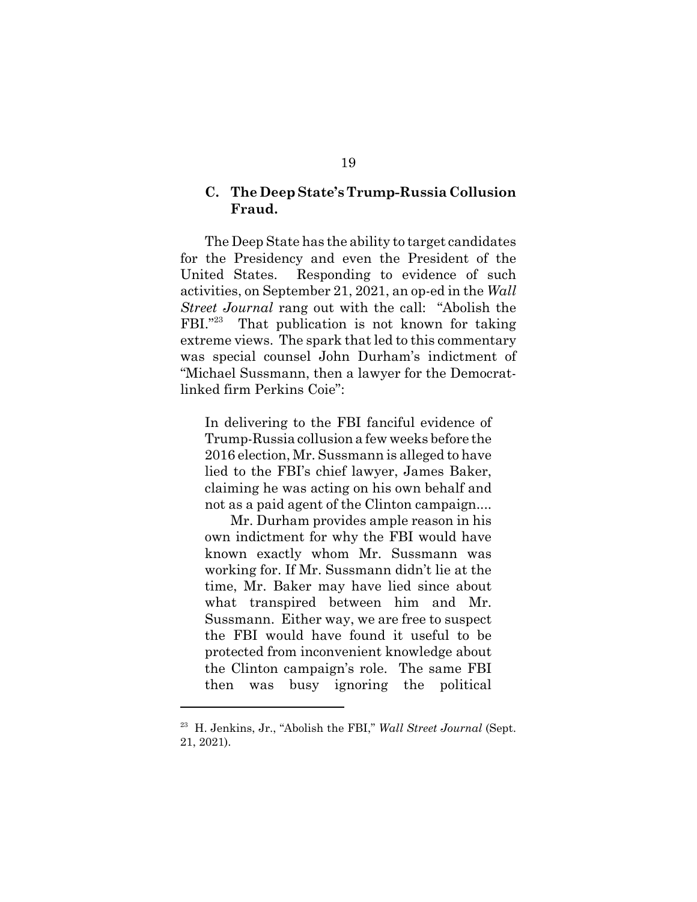#### **C. The Deep State's Trump-Russia Collusion Fraud.**

The Deep State has the ability to target candidates for the Presidency and even the President of the United States. Responding to evidence of such activities, on September 21, 2021, an op-ed in the *Wall Street Journal* rang out with the call: "Abolish the FBI."<sup>23</sup> That publication is not known for taking extreme views. The spark that led to this commentary was special counsel John Durham's indictment of "Michael Sussmann, then a lawyer for the Democratlinked firm Perkins Coie":

In delivering to the FBI fanciful evidence of Trump-Russia collusion a few weeks before the 2016 election, Mr. Sussmann is alleged to have lied to the FBI's chief lawyer, James Baker, claiming he was acting on his own behalf and not as a paid agent of the Clinton campaign....

Mr. Durham provides ample reason in his own indictment for why the FBI would have known exactly whom Mr. Sussmann was working for. If Mr. Sussmann didn't lie at the time, Mr. Baker may have lied since about what transpired between him and Mr. Sussmann. Either way, we are free to suspect the FBI would have found it useful to be protected from inconvenient knowledge about the Clinton campaign's role. The same FBI then was busy ignoring the political

<sup>&</sup>lt;sup>23</sup> H. Jenkins, Jr., "Abolish the FBI," *Wall Street Journal* (Sept. 21, 2021).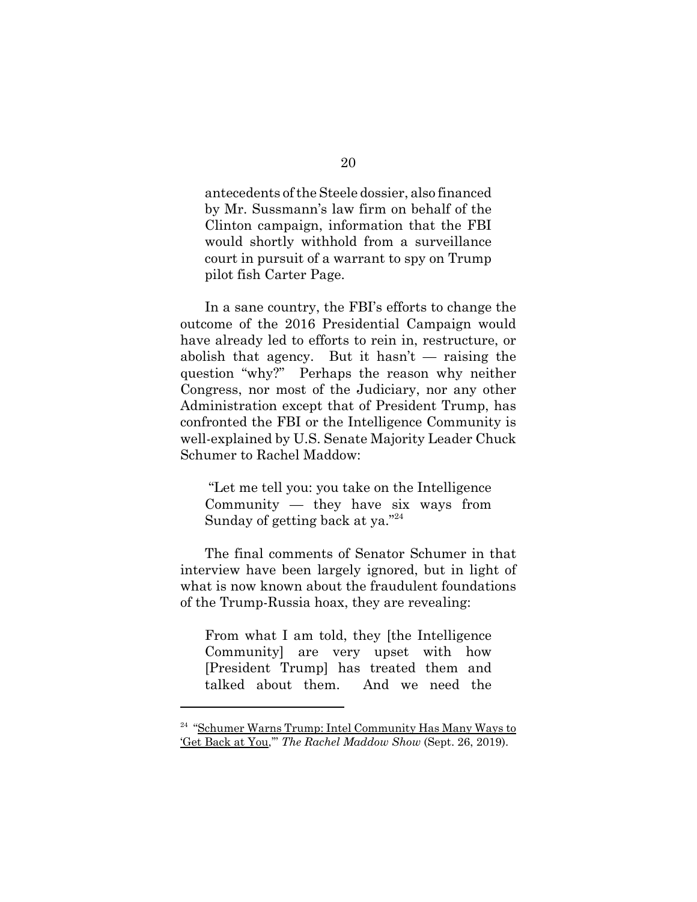antecedents of the Steele dossier, also financed by Mr. Sussmann's law firm on behalf of the Clinton campaign, information that the FBI would shortly withhold from a surveillance court in pursuit of a warrant to spy on Trump pilot fish Carter Page.

In a sane country, the FBI's efforts to change the outcome of the 2016 Presidential Campaign would have already led to efforts to rein in, restructure, or abolish that agency. But it hasn't — raising the question "why?" Perhaps the reason why neither Congress, nor most of the Judiciary, nor any other Administration except that of President Trump, has confronted the FBI or the Intelligence Community is well-explained by U.S. Senate Majority Leader Chuck Schumer to Rachel Maddow:

 "Let me tell you: you take on the Intelligence Community — they have six ways from Sunday of getting back at ya."24

The final comments of Senator Schumer in that interview have been largely ignored, but in light of what is now known about the fraudulent foundations of the Trump-Russia hoax, they are revealing:

From what I am told, they [the Intelligence Community] are very upset with how [President Trump] has treated them and talked about them. And we need the

<sup>&</sup>lt;sup>24</sup> "Schumer Warns Trump: Intel Community Has Many Ways to 'Get Back at You,'" *The Rachel Maddow Show* (Sept. 26, 2019).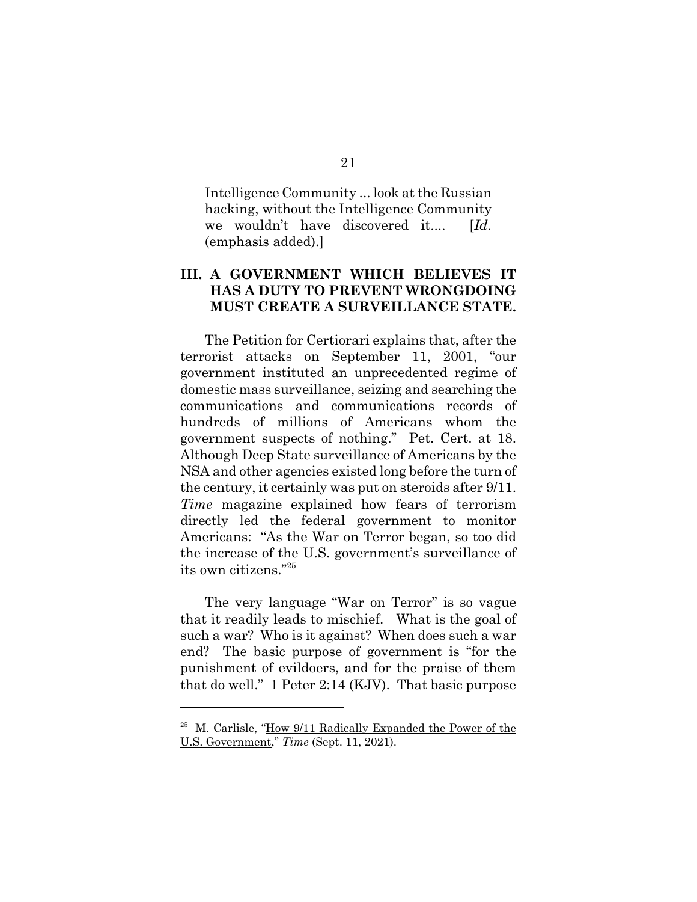Intelligence Community ... look at the Russian hacking, without the Intelligence Community we wouldn't have discovered it.... [*Id.* (emphasis added).]

### **III. A GOVERNMENT WHICH BELIEVES IT HAS A DUTY TO PREVENT WRONGDOING MUST CREATE A SURVEILLANCE STATE.**

The Petition for Certiorari explains that, after the terrorist attacks on September 11, 2001, "our government instituted an unprecedented regime of domestic mass surveillance, seizing and searching the communications and communications records of hundreds of millions of Americans whom the government suspects of nothing." Pet. Cert. at 18. Although Deep State surveillance of Americans by the NSA and other agencies existed long before the turn of the century, it certainly was put on steroids after 9/11. *Time* magazine explained how fears of terrorism directly led the federal government to monitor Americans: "As the War on Terror began, so too did the increase of the U.S. government's surveillance of its own citizens."25

The very language "War on Terror" is so vague that it readily leads to mischief. What is the goal of such a war? Who is it against? When does such a war end? The basic purpose of government is "for the punishment of evildoers, and for the praise of them that do well." 1 Peter 2:14 (KJV). That basic purpose

<sup>25</sup> M. Carlisle, "How 9/11 Radically Expanded the Power of the U.S. Government," *Time* (Sept. 11, 2021).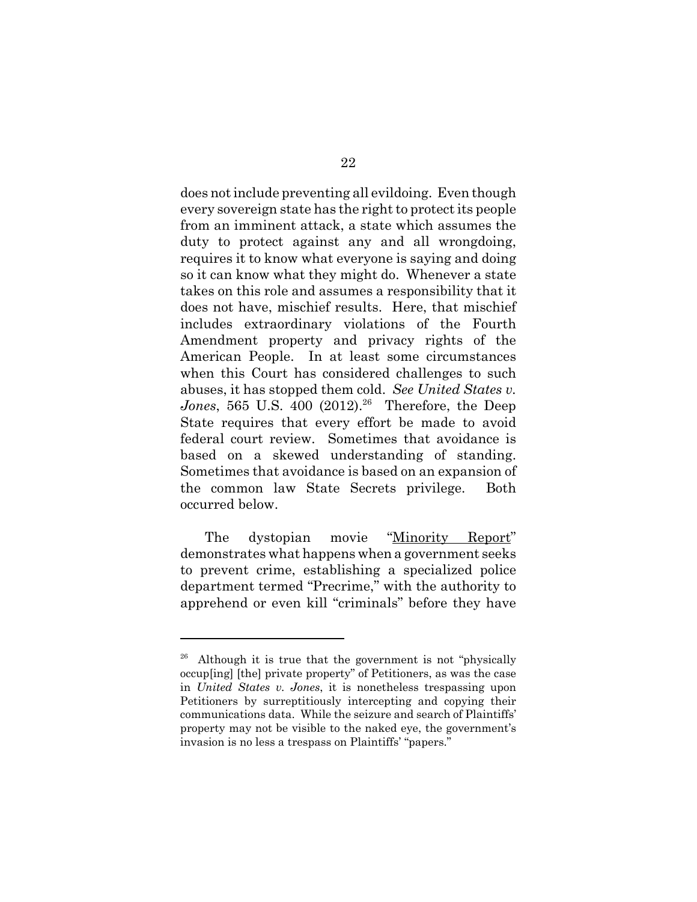does not include preventing all evildoing. Even though every sovereign state has the right to protect its people from an imminent attack, a state which assumes the duty to protect against any and all wrongdoing, requires it to know what everyone is saying and doing so it can know what they might do. Whenever a state takes on this role and assumes a responsibility that it does not have, mischief results. Here, that mischief includes extraordinary violations of the Fourth Amendment property and privacy rights of the American People. In at least some circumstances when this Court has considered challenges to such abuses, it has stopped them cold. *See United States v. Jones*, 565 U.S. 400 (2012).<sup>26</sup> Therefore, the Deep State requires that every effort be made to avoid federal court review. Sometimes that avoidance is based on a skewed understanding of standing. Sometimes that avoidance is based on an expansion of the common law State Secrets privilege. Both occurred below.

The dystopian movie "Minority Report" demonstrates what happens when a government seeks to prevent crime, establishing a specialized police department termed "Precrime," with the authority to apprehend or even kill "criminals" before they have

<sup>&</sup>lt;sup>26</sup> Although it is true that the government is not "physically occup[ing] [the] private property" of Petitioners, as was the case in *United States v. Jones*, it is nonetheless trespassing upon Petitioners by surreptitiously intercepting and copying their communications data. While the seizure and search of Plaintiffs' property may not be visible to the naked eye, the government's invasion is no less a trespass on Plaintiffs' "papers."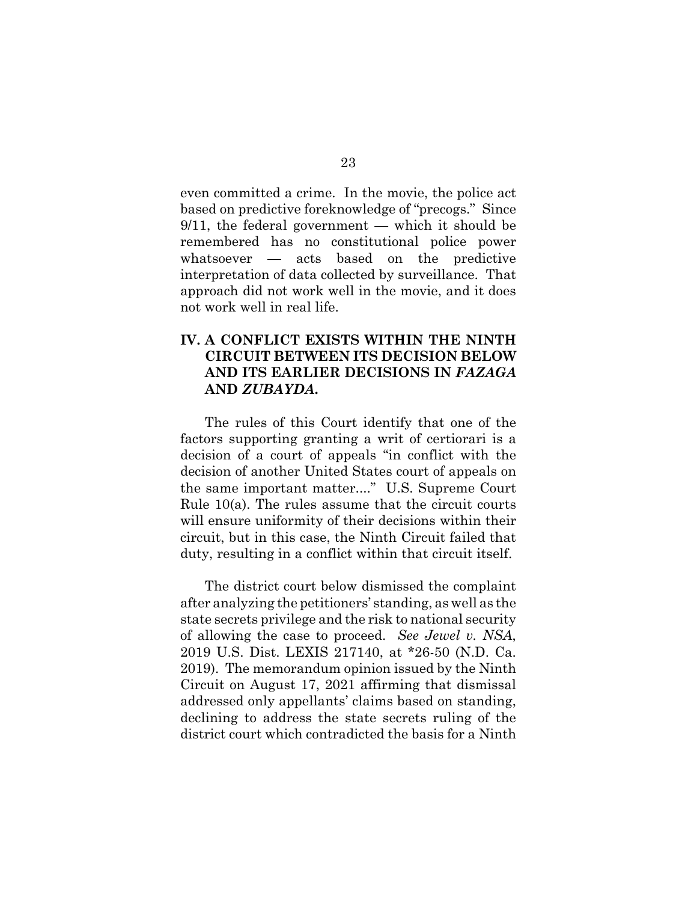even committed a crime. In the movie, the police act based on predictive foreknowledge of "precogs." Since  $9/11$ , the federal government — which it should be remembered has no constitutional police power whatsoever — acts based on the predictive interpretation of data collected by surveillance. That approach did not work well in the movie, and it does not work well in real life.

## **IV. A CONFLICT EXISTS WITHIN THE NINTH CIRCUIT BETWEEN ITS DECISION BELOW AND ITS EARLIER DECISIONS IN** *FAZAGA* **AND** *ZUBAYDA***.**

The rules of this Court identify that one of the factors supporting granting a writ of certiorari is a decision of a court of appeals "in conflict with the decision of another United States court of appeals on the same important matter...." U.S. Supreme Court Rule 10(a). The rules assume that the circuit courts will ensure uniformity of their decisions within their circuit, but in this case, the Ninth Circuit failed that duty, resulting in a conflict within that circuit itself.

The district court below dismissed the complaint after analyzing the petitioners' standing, as well as the state secrets privilege and the risk to national security of allowing the case to proceed. *See Jewel v. NSA*, 2019 U.S. Dist. LEXIS 217140, at \*26-50 (N.D. Ca. 2019). The memorandum opinion issued by the Ninth Circuit on August 17, 2021 affirming that dismissal addressed only appellants' claims based on standing, declining to address the state secrets ruling of the district court which contradicted the basis for a Ninth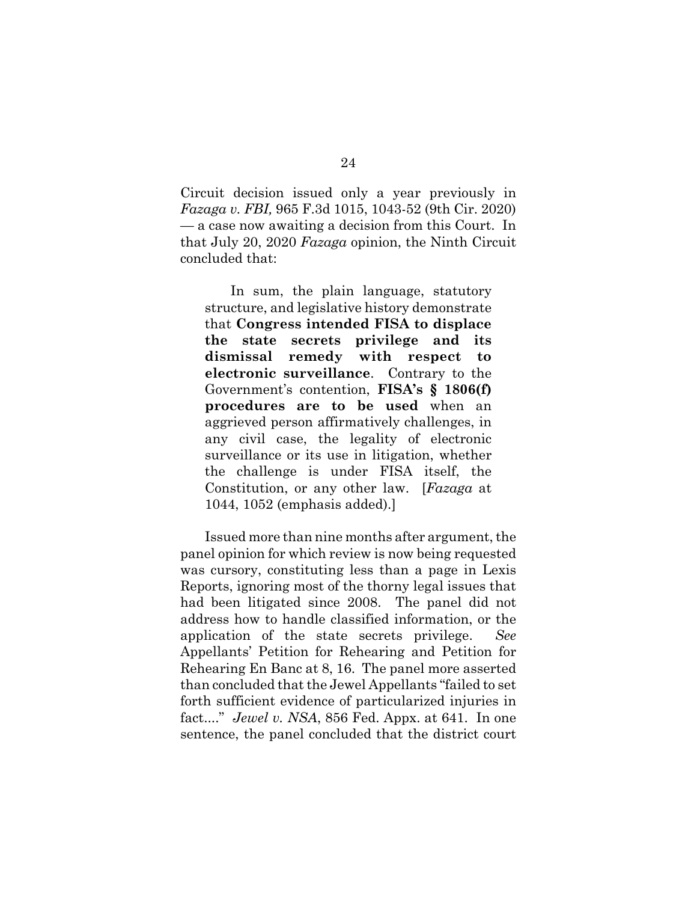Circuit decision issued only a year previously in *Fazaga v. FBI,* 965 F.3d 1015, 1043-52 (9th Cir. 2020) — a case now awaiting a decision from this Court. In that July 20, 2020 *Fazaga* opinion, the Ninth Circuit concluded that:

In sum, the plain language, statutory structure, and legislative history demonstrate that **Congress intended FISA to displace the state secrets privilege and its dismissal remedy with respect to electronic surveillance**. Contrary to the Government's contention, **FISA's § 1806(f) procedures are to be used** when an aggrieved person affirmatively challenges, in any civil case, the legality of electronic surveillance or its use in litigation, whether the challenge is under FISA itself, the Constitution, or any other law. [*Fazaga* at 1044, 1052 (emphasis added).]

Issued more than nine months after argument, the panel opinion for which review is now being requested was cursory, constituting less than a page in Lexis Reports, ignoring most of the thorny legal issues that had been litigated since 2008. The panel did not address how to handle classified information, or the application of the state secrets privilege. *See* Appellants' Petition for Rehearing and Petition for Rehearing En Banc at 8, 16. The panel more asserted than concluded that the Jewel Appellants "failed to set forth sufficient evidence of particularized injuries in fact...." *Jewel v. NSA*, 856 Fed. Appx. at 641. In one sentence, the panel concluded that the district court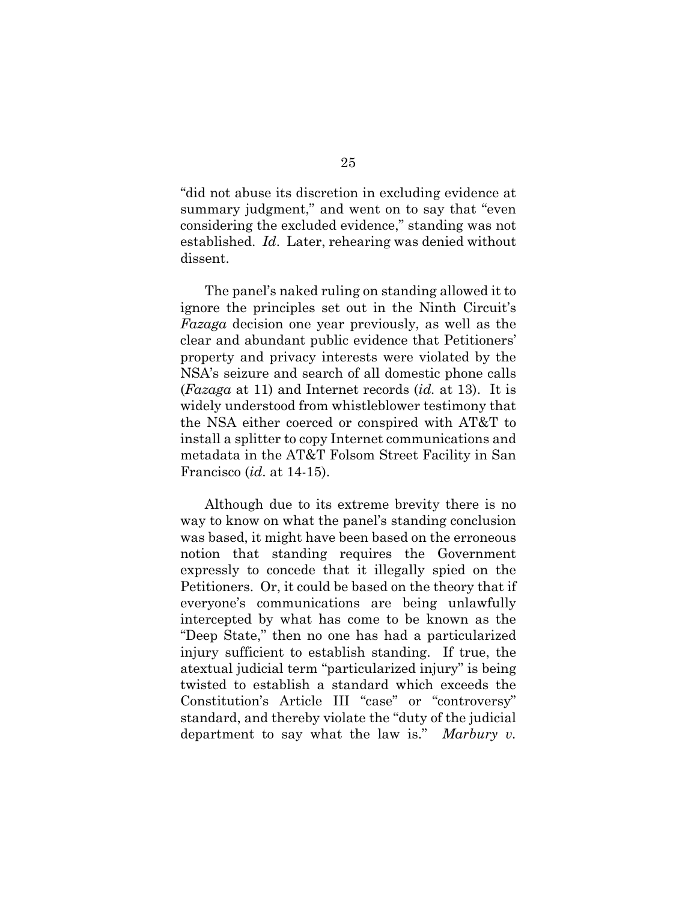"did not abuse its discretion in excluding evidence at summary judgment," and went on to say that "even considering the excluded evidence," standing was not established. *Id*. Later, rehearing was denied without dissent.

The panel's naked ruling on standing allowed it to ignore the principles set out in the Ninth Circuit's *Fazaga* decision one year previously, as well as the clear and abundant public evidence that Petitioners' property and privacy interests were violated by the NSA's seizure and search of all domestic phone calls (*Fazaga* at 11) and Internet records (*id.* at 13). It is widely understood from whistleblower testimony that the NSA either coerced or conspired with AT&T to install a splitter to copy Internet communications and metadata in the AT&T Folsom Street Facility in San Francisco (*id*. at 14-15).

Although due to its extreme brevity there is no way to know on what the panel's standing conclusion was based, it might have been based on the erroneous notion that standing requires the Government expressly to concede that it illegally spied on the Petitioners. Or, it could be based on the theory that if everyone's communications are being unlawfully intercepted by what has come to be known as the "Deep State," then no one has had a particularized injury sufficient to establish standing. If true, the atextual judicial term "particularized injury" is being twisted to establish a standard which exceeds the Constitution's Article III "case" or "controversy" standard, and thereby violate the "duty of the judicial department to say what the law is." *Marbury v.*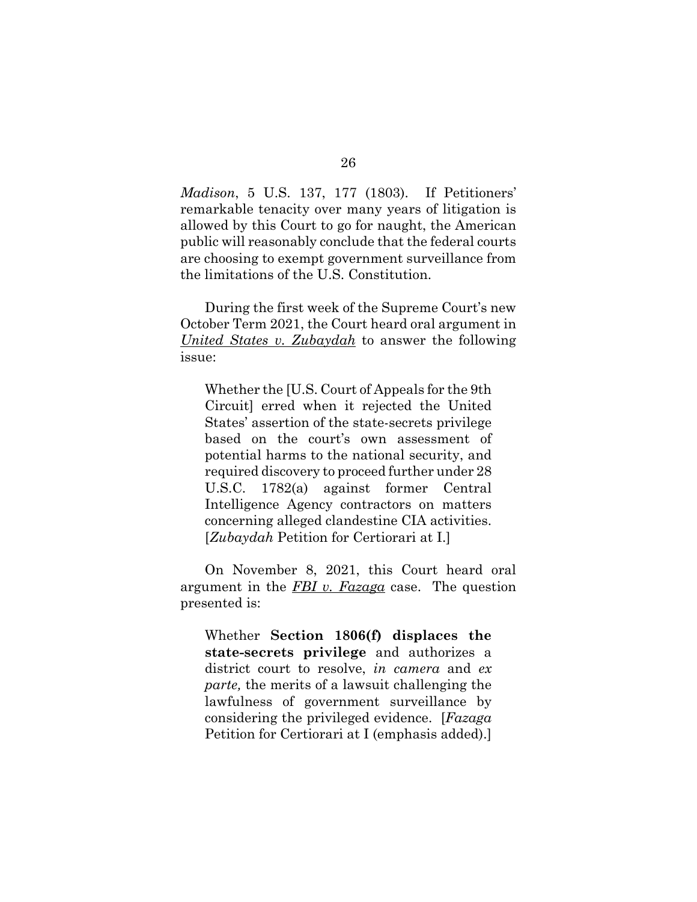*Madison*, 5 U.S. 137, 177 (1803). If Petitioners' remarkable tenacity over many years of litigation is allowed by this Court to go for naught, the American public will reasonably conclude that the federal courts are choosing to exempt government surveillance from the limitations of the U.S. Constitution.

During the first week of the Supreme Court's new October Term 2021, the Court heard oral argument in *United States v. Zubaydah* to answer the following issue:

Whether the [U.S. Court of Appeals for the 9th Circuit] erred when it rejected the United States' assertion of the state-secrets privilege based on the court's own assessment of potential harms to the national security, and required discovery to proceed further under 28 U.S.C. 1782(a) against former Central Intelligence Agency contractors on matters concerning alleged clandestine CIA activities. [*Zubaydah* Petition for Certiorari at I.]

On November 8, 2021, this Court heard oral argument in the *FBI v. Fazaga* case. The question presented is:

Whether **Section 1806(f) displaces the state-secrets privilege** and authorizes a district court to resolve, *in camera* and *ex parte,* the merits of a lawsuit challenging the lawfulness of government surveillance by considering the privileged evidence. [*Fazaga* Petition for Certiorari at I (emphasis added).]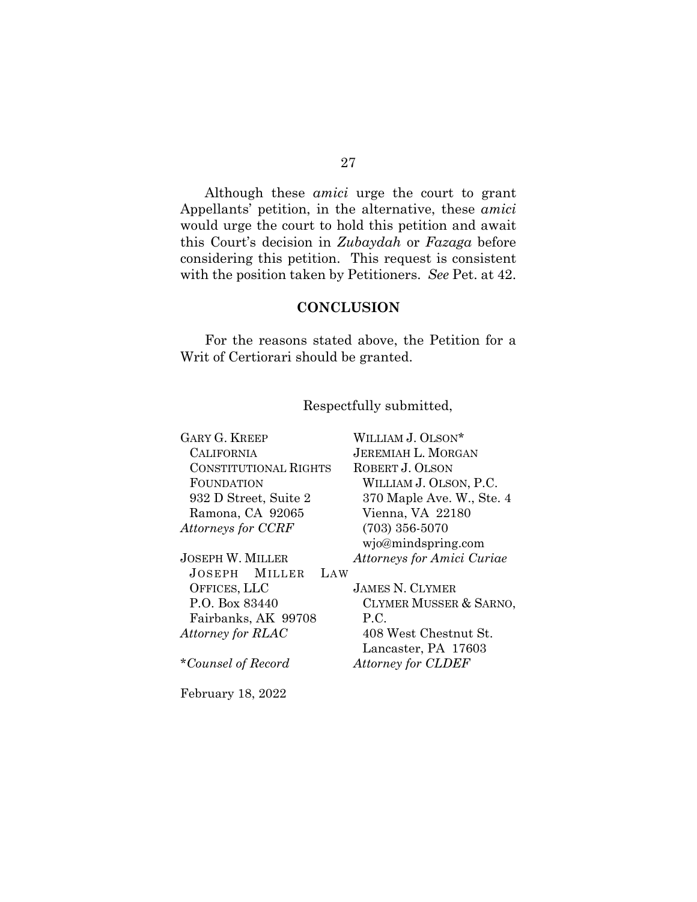Although these *amici* urge the court to grant Appellants' petition, in the alternative, these *amici* would urge the court to hold this petition and await this Court's decision in *Zubaydah* or *Fazaga* before considering this petition. This request is consistent with the position taken by Petitioners. *See* Pet. at 42.

### **CONCLUSION**

For the reasons stated above, the Petition for a Writ of Certiorari should be granted.

### Respectfully submitted,

| <b>GARY G. KREEP</b>         | WILLIAM J. OLSON*          |
|------------------------------|----------------------------|
| <b>CALIFORNIA</b>            | <b>JEREMIAH L. MORGAN</b>  |
| <b>CONSTITUTIONAL RIGHTS</b> | ROBERT J. OLSON            |
| FOUNDATION                   | WILLIAM J. OLSON, P.C.     |
| 932 D Street, Suite 2        | 370 Maple Ave. W., Ste. 4  |
| Ramona, CA 92065             | Vienna, VA 22180           |
| Attorneys for CCRF           | $(703)$ 356-5070           |
|                              | wjo@mindspring.com         |
| JOSEPH W. MILLER             | Attorneys for Amici Curiae |
| JOSEPH MILLER<br>LAW         |                            |
| OFFICES, LLC                 | <b>JAMES N. CLYMER</b>     |
| P.O. Box 83440               | CLYMER MUSSER & SARNO,     |
| Fairbanks, AK 99708          | P.C.                       |
| Attorney for RLAC            | 408 West Chestnut St.      |
|                              | Lancaster, PA 17603        |
| *Counsel of Record           | Attorney for CLDEF         |
|                              |                            |
|                              |                            |

February 18, 2022

27